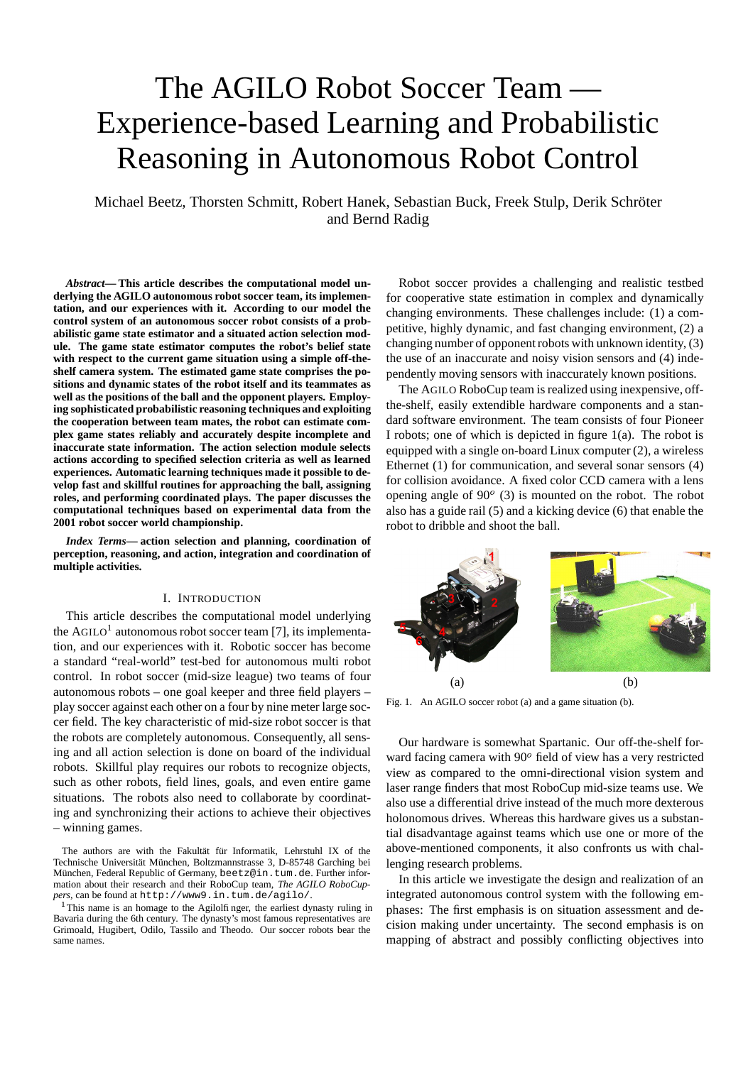# The AGILO Robot Soccer Team — Experience-based Learning and Probabilistic Reasoning in Autonomous Robot Control

Michael Beetz, Thorsten Schmitt, Robert Hanek, Sebastian Buck, Freek Stulp, Derik Schroter ¨ and Bernd Radig

*Abstract***— This article describes the computational model underlying the AGILO autonomous robot soccer team, its implementation, and our experiences with it. According to our model the control system of an autonomous soccer robot consists of a probabilistic game state estimator and a situated action selection module. The game state estimator computes the robot's belief state with respect to the current game situation using a simple off-theshelf camera system. The estimated game state comprises the positions and dynamic states of the robot itself and its teammates as well as the positions of the ball and the opponent players. Employing sophisticated probabilistic reasoning techniques and exploiting the cooperation between team mates, the robot can estimate complex game states reliably and accurately despite incomplete and inaccurate state information. The action selection module selects actions according to specified selection criteria as well as learned experiences. Automatic learning techniques made it possible to develop fast and skillful routines for approaching the ball, assigning roles, and performing coordinated plays. The paper discusses the computational techniques based on experimental data from the 2001 robot soccer world championship.**

*Index Terms***— action selection and planning, coordination of perception, reasoning, and action, integration and coordination of multiple activities.**

#### I. INTRODUCTION

This article describes the computational model underlying the AGILO<sup>1</sup> autonomous robot soccer team [7], its implementation, and our experiences with it. Robotic soccer has become a standard "real-world" test-bed for autonomous multi robot control. In robot soccer (mid-size league) two teams of four autonomous robots – one goal keeper and three field players – play soccer against each other on a four by nine meter large soccer field. The key characteristic of mid-size robot soccer is that the robots are completely autonomous. Consequently, all sensing and all action selection is done on board of the individual robots. Skillful play requires our robots to recognize objects, such as other robots, field lines, goals, and even entire game situations. The robots also need to collaborate by coordinating and synchronizing their actions to achieve their objectives – winning games.

The authors are with the Fakultät für Informatik, Lehrstuhl IX of the Technische Universität München, Boltzmannstrasse 3, D-85748 Garching bei München, Federal Republic of Germany, beetz@in.tum.de. Further information about their research and their RoboCup team, *The AGILO RoboCuppers*, can be found at http://www9.in.tum.de/agilo/.

<sup>1</sup>This name is an homage to the Agilolfinger, the earliest dynasty ruling in Bavaria during the 6th century. The dynasty's most famous representatives are Grimoald, Hugibert, Odilo, Tassilo and Theodo. Our soccer robots bear the same names.

Robot soccer provides a challenging and realistic testbed for cooperative state estimation in complex and dynamically changing environments. These challenges include: (1) a competitive, highly dynamic, and fast changing environment, (2) a changing number of opponentrobots with unknown identity, (3) the use of an inaccurate and noisy vision sensors and (4) independently moving sensors with inaccurately known positions.

The AGILO RoboCup team is realized using inexpensive, offthe-shelf, easily extendible hardware components and a standard software environment. The team consists of four Pioneer I robots; one of which is depicted in figure  $1(a)$ . The robot is equipped with a single on-board Linux computer (2), a wireless Ethernet (1) for communication, and several sonar sensors (4) for collision avoidance. A fixed color CCD camera with a lens opening angle of  $90^{\circ}$  (3) is mounted on the robot. The robot also has a guide rail (5) and a kicking device (6) that enable the robot to dribble and shoot the ball.



Fig. 1. An AGILO soccer robot (a) and a game situation (b).

Our hardware is somewhat Spartanic. Our off-the-shelf forward facing camera with 90° field of view has a very restricted view as compared to the omni-directional vision system and laser range finders that most RoboCup mid-size teams use. We also use a differential drive instead of the much more dexterous holonomous drives. Whereas this hardware gives us a substantial disadvantage against teams which use one or more of the above-mentioned components, it also confronts us with challenging research problems.

In this article we investigate the design and realization of an integrated autonomous control system with the following emphases: The first emphasis is on situation assessment and decision making under uncertainty. The second emphasis is on mapping of abstract and possibly conflicting objectives into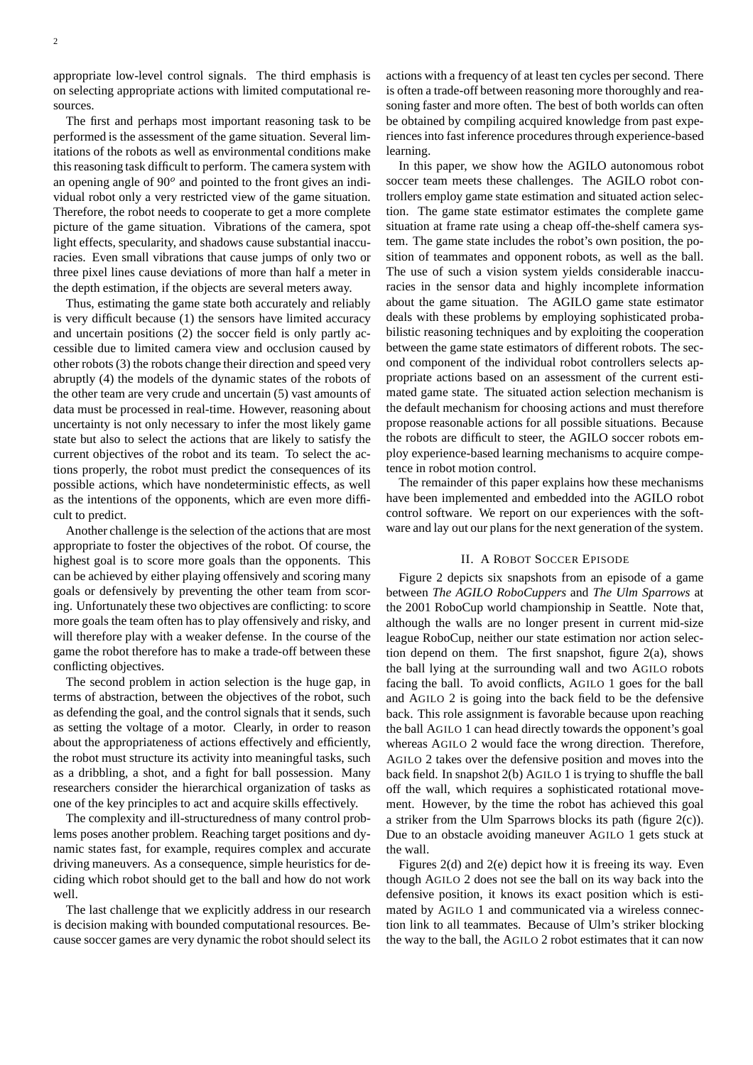appropriate low-level control signals. The third emphasis is on selecting appropriate actions with limited computational resources.

The first and perhaps most important reasoning task to be performed is the assessment of the game situation. Several limitations of the robots as well as environmental conditions make this reasoning task difficult to perform. The camera system with an opening angle of 90° and pointed to the front gives an individual robot only a very restricted view of the game situation. Therefore, the robot needs to cooperate to get a more complete picture of the game situation. Vibrations of the camera, spot light effects, specularity, and shadows cause substantial inaccuracies. Even small vibrations that cause jumps of only two or three pixel lines cause deviations of more than half a meter in the depth estimation, if the objects are several meters away.

Thus, estimating the game state both accurately and reliably is very difficult because (1) the sensors have limited accuracy and uncertain positions (2) the soccer field is only partly accessible due to limited camera view and occlusion caused by other robots(3) the robots change their direction and speed very abruptly (4) the models of the dynamic states of the robots of the other team are very crude and uncertain (5) vast amounts of data must be processed in real-time. However, reasoning about uncertainty is not only necessary to infer the most likely game state but also to select the actions that are likely to satisfy the current objectives of the robot and its team. To select the actions properly, the robot must predict the consequences of its possible actions, which have nondeterministic effects, as well as the intentions of the opponents, which are even more difficult to predict.

Another challenge is the selection of the actions that are most appropriate to foster the objectives of the robot. Of course, the highest goal is to score more goals than the opponents. This can be achieved by either playing offensively and scoring many goals or defensively by preventing the other team from scoring. Unfortunately these two objectives are conflicting: to score more goals the team often has to play offensively and risky, and will therefore play with a weaker defense. In the course of the game the robot therefore has to make a trade-off between these conflicting objectives.

The second problem in action selection is the huge gap, in terms of abstraction, between the objectives of the robot, such as defending the goal, and the control signals that it sends, such as setting the voltage of a motor. Clearly, in order to reason about the appropriateness of actions effectively and efficiently, the robot must structure its activity into meaningful tasks, such as a dribbling, a shot, and a fight for ball possession. Many researchers consider the hierarchical organization of tasks as one of the key principles to act and acquire skills effectively.

The complexity and ill-structuredness of many control problems poses another problem. Reaching target positions and dynamic states fast, for example, requires complex and accurate driving maneuvers. As a consequence, simple heuristics for deciding which robot should get to the ball and how do not work well.

The last challenge that we explicitly address in our research is decision making with bounded computational resources. Because soccer games are very dynamic the robot should select its actions with a frequency of at least ten cycles per second. There is often a trade-off between reasoning more thoroughly and reasoning faster and more often. The best of both worlds can often be obtained by compiling acquired knowledge from past experiences into fast inference procedures through experience-based learning.

In this paper, we show how the AGILO autonomous robot soccer team meets these challenges. The AGILO robot controllers employ game state estimation and situated action selection. The game state estimator estimates the complete game situation at frame rate using a cheap off-the-shelf camera system. The game state includes the robot's own position, the position of teammates and opponent robots, as well as the ball. The use of such a vision system yields considerable inaccuracies in the sensor data and highly incomplete information about the game situation. The AGILO game state estimator deals with these problems by employing sophisticated probabilistic reasoning techniques and by exploiting the cooperation between the game state estimators of different robots. The second component of the individual robot controllers selects appropriate actions based on an assessment of the current estimated game state. The situated action selection mechanism is the default mechanism for choosing actions and must therefore propose reasonable actions for all possible situations. Because the robots are difficult to steer, the AGILO soccer robots employ experience-based learning mechanisms to acquire competence in robot motion control.

The remainder of this paper explains how these mechanisms have been implemented and embedded into the AGILO robot control software. We report on our experiences with the software and lay out our plans for the next generation of the system.

#### II. A ROBOT SOCCER EPISODE

Figure 2 depicts six snapshots from an episode of a game between *The AGILO RoboCuppers* and *The Ulm Sparrows* at the 2001 RoboCup world championship in Seattle. Note that, although the walls are no longer present in current mid-size league RoboCup, neither our state estimation nor action selection depend on them. The first snapshot, figure 2(a), shows the ball lying at the surrounding wall and two AGILO robots facing the ball. To avoid conflicts, AGILO 1 goes for the ball and AGILO 2 is going into the back field to be the defensive back. This role assignment is favorable because upon reaching the ball AGILO 1 can head directly towards the opponent's goal whereas AGILO 2 would face the wrong direction. Therefore, AGILO 2 takes over the defensive position and moves into the back field. In snapshot 2(b) AGILO 1 is trying to shuffle the ball off the wall, which requires a sophisticated rotational movement. However, by the time the robot has achieved this goal a striker from the Ulm Sparrows blocks its path (figure  $2(c)$ ). Due to an obstacle avoiding maneuver AGILO 1 gets stuck at the wall.

Figures 2(d) and 2(e) depict how it is freeing its way. Even though AGILO 2 does not see the ball on its way back into the defensive position, it knows its exact position which is estimated by AGILO 1 and communicated via a wireless connection link to all teammates. Because of Ulm's striker blocking the way to the ball, the AGILO 2 robot estimates that it can now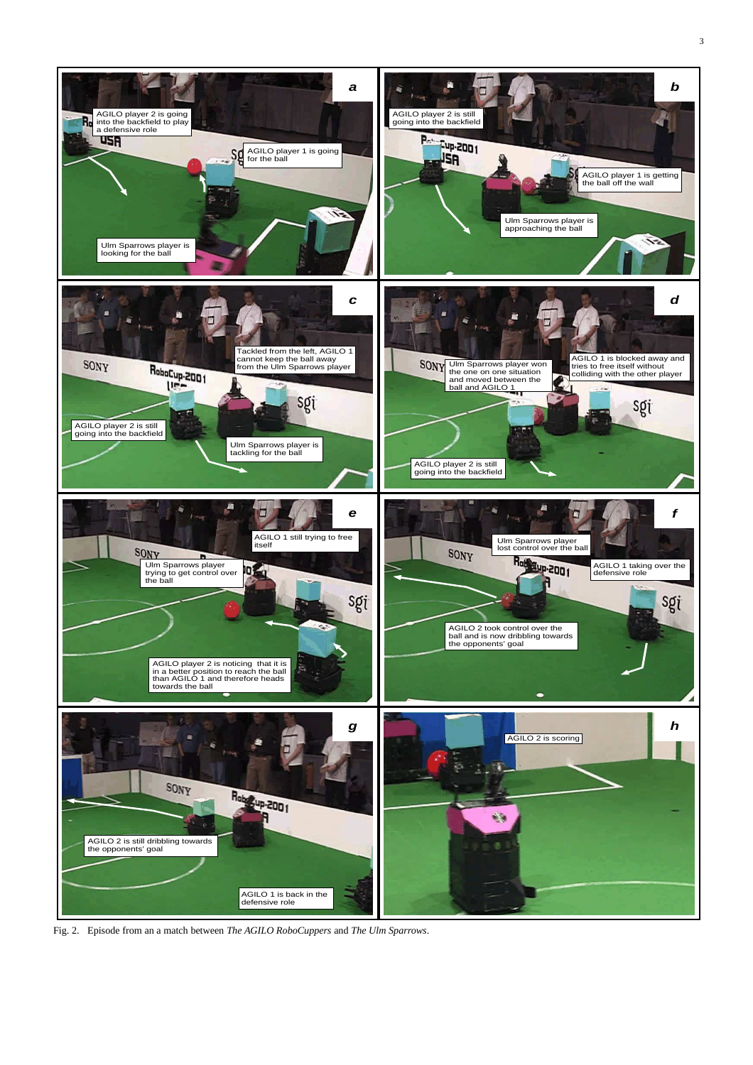

Fig. 2. Episode from an a match between *The AGILO RoboCuppers* and *The Ulm Sparrows*.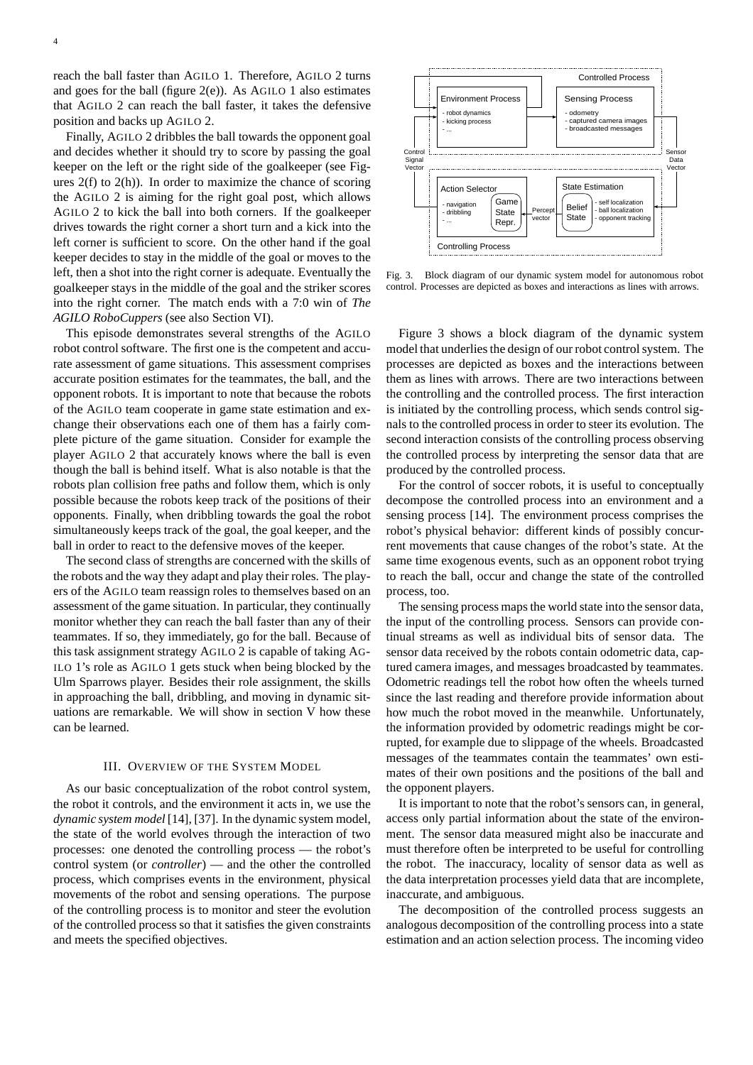reach the ball faster than AGILO 1. Therefore, AGILO 2 turns and goes for the ball (figure  $2(e)$ ). As AGILO 1 also estimates that AGILO 2 can reach the ball faster, it takes the defensive position and backs up AGILO 2.

Finally, AGILO 2 dribbles the ball towards the opponent goal and decides whether it should try to score by passing the goal keeper on the left or the right side of the goalkeeper (see Figures 2(f) to 2(h)). In order to maximize the chance of scoring the AGILO 2 is aiming for the right goal post, which allows AGILO 2 to kick the ball into both corners. If the goalkeeper drives towards the right corner a short turn and a kick into the left corner is sufficient to score. On the other hand if the goal keeper decides to stay in the middle of the goal or moves to the left, then a shot into the right corner is adequate. Eventually the goalkeeper stays in the middle of the goal and the striker scores into the right corner. The match ends with a 7:0 win of *The AGILO RoboCuppers* (see also Section VI).

This episode demonstrates several strengths of the AGILO robot control software. The first one is the competent and accurate assessment of game situations. This assessment comprises accurate position estimates for the teammates, the ball, and the opponent robots. It is important to note that because the robots of the AGILO team cooperate in game state estimation and exchange their observations each one of them has a fairly complete picture of the game situation. Consider for example the player AGILO 2 that accurately knows where the ball is even though the ball is behind itself. What is also notable is that the robots plan collision free paths and follow them, which is only possible because the robots keep track of the positions of their opponents. Finally, when dribbling towards the goal the robot simultaneously keeps track of the goal, the goal keeper, and the ball in order to react to the defensive moves of the keeper.

The second class of strengths are concerned with the skills of the robots and the way they adapt and play their roles. The players of the AGILO team reassign roles to themselves based on an assessment of the game situation. In particular, they continually monitor whether they can reach the ball faster than any of their teammates. If so, they immediately, go for the ball. Because of this task assignment strategy AGILO 2 is capable of taking AG-ILO 1's role as AGILO 1 gets stuck when being blocked by the Ulm Sparrows player. Besides their role assignment, the skills in approaching the ball, dribbling, and moving in dynamic situations are remarkable. We will show in section V how these can be learned.

## III. OVERVIEW OF THE SYSTEM MODEL

As our basic conceptualization of the robot control system, the robot it controls, and the environment it acts in, we use the *dynamic system model* [14], [37]. In the dynamic system model, the state of the world evolves through the interaction of two processes: one denoted the controlling process — the robot's control system (or *controller*) — and the other the controlled process, which comprises events in the environment, physical movements of the robot and sensing operations. The purpose of the controlling process is to monitor and steer the evolution of the controlled process so that it satisfies the given constraints and meets the specified objectives.



Fig. 3. Block diagram of our dynamic system model for autonomous robot control. Processes are depicted as boxes and interactions as lines with arrows.

Figure 3 shows a block diagram of the dynamic system model that underlies the design of our robot control system. The processes are depicted as boxes and the interactions between them as lines with arrows. There are two interactions between the controlling and the controlled process. The first interaction is initiated by the controlling process, which sends control signals to the controlled process in order to steer its evolution. The second interaction consists of the controlling process observing the controlled process by interpreting the sensor data that are produced by the controlled process.

For the control of soccer robots, it is useful to conceptually decompose the controlled process into an environment and a sensing process [14]. The environment process comprises the robot's physical behavior: different kinds of possibly concurrent movements that cause changes of the robot's state. At the same time exogenous events, such as an opponent robot trying to reach the ball, occur and change the state of the controlled process, too.

The sensing process maps the world state into the sensor data, the input of the controlling process. Sensors can provide continual streams as well as individual bits of sensor data. The sensor data received by the robots contain odometric data, captured camera images, and messages broadcasted by teammates. Odometric readings tell the robot how often the wheels turned since the last reading and therefore provide information about how much the robot moved in the meanwhile. Unfortunately, the information provided by odometric readings might be corrupted, for example due to slippage of the wheels. Broadcasted messages of the teammates contain the teammates' own estimates of their own positions and the positions of the ball and the opponent players.

It is important to note that the robot's sensors can, in general, access only partial information about the state of the environment. The sensor data measured might also be inaccurate and must therefore often be interpreted to be useful for controlling the robot. The inaccuracy, locality of sensor data as well as the data interpretation processes yield data that are incomplete, inaccurate, and ambiguous.

The decomposition of the controlled process suggests an analogous decomposition of the controlling process into a state estimation and an action selection process. The incoming video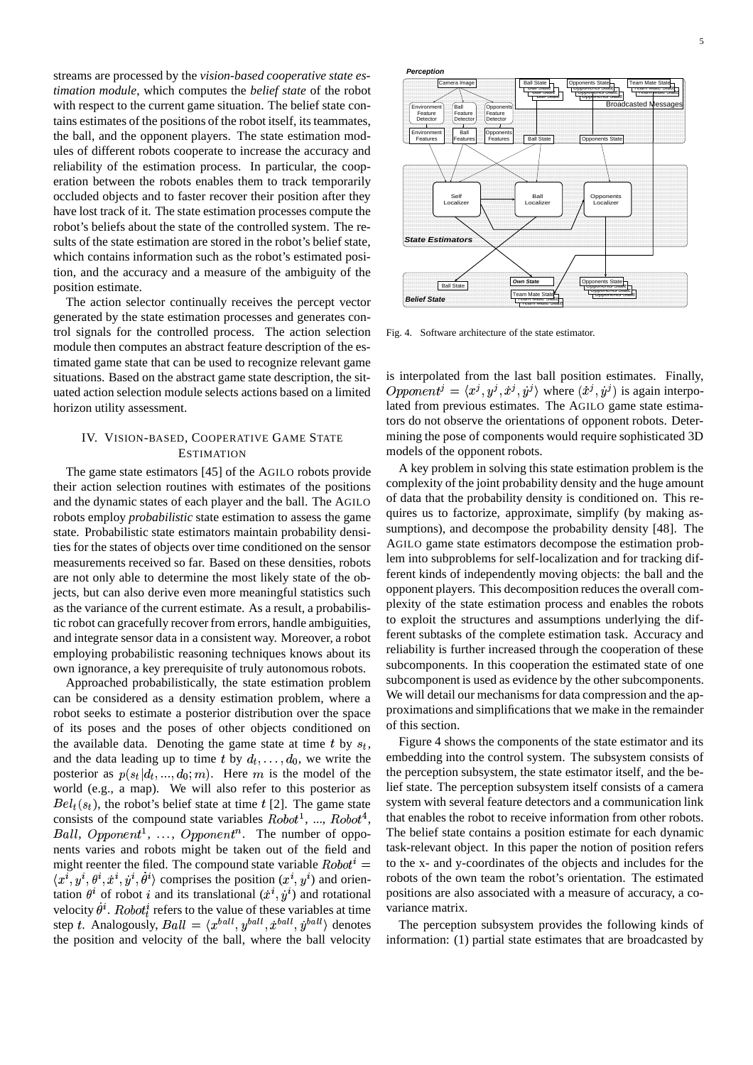streams are processed by the *vision-based cooperative state estimation module*, which computes the *belief state* of the robot with respect to the current game situation. The belief state contains estimates of the positions of the robot itself, its teammates, the ball, and the opponent players. The state estimation modules of different robots cooperate to increase the accuracy and reliability of the estimation process. In particular, the cooperation between the robots enables them to track temporarily occluded objects and to faster recover their position after they have lost track of it. The state estimation processes compute the robot's beliefs about the state of the controlled system. The results of the state estimation are stored in the robot's belief state, which contains information such as the robot's estimated position, and the accuracy and a measure of the ambiguity of the position estimate.

The action selector continually receives the percept vector generated by the state estimation processes and generates control signals for the controlled process. The action selection module then computes an abstract feature description of the estimated game state that can be used to recognize relevant game situations. Based on the abstract game state description, the situated action selection module selects actions based on a limited horizon utility assessment.

# IV. VISION-BASED, COOPERATIVE GAME STATE **ESTIMATION**

The game state estimators [45] of the AGILO robots provide their action selection routines with estimates of the positions and the dynamic states of each player and the ball. The AGILO robots employ *probabilistic* state estimation to assess the game state. Probabilistic state estimators maintain probability densities for the states of objects over time conditioned on the sensor measurements received so far. Based on these densities, robots are not only able to determine the most likely state of the objects, but can also derive even more meaningful statistics such as the variance of the current estimate. As a result, a probabilistic robot can gracefully recoverfrom errors, handle ambiguities, and integrate sensor data in a consistent way. Moreover, a robot employing probabilistic reasoning techniques knows about its own ignorance, a key prerequisite of truly autonomous robots.

Approached probabilistically, the state estimation problem can be considered as a density estimation problem, where a robot seeks to estimate a posterior distribution over the space of its poses and the poses of other objects conditioned on the available data. Denoting the game state at time  $t$  by  $s_t$ , and the data leading up to time t by  $d_t, \ldots, d_0$ , we write the posterior as  $p(s_t|d_t, ..., d_0; m)$ . Here m is the model of the world (e.g., a map). We will also refer to this posterior as  $Bel<sub>t</sub>(s<sub>t</sub>)$ , the robot's belief state at time t [2]. The game state consists of the compound state variables  $Root<sup>1</sup>$ , ...,  $Robot<sup>4</sup>$ , Ball, Opponent<sup>1</sup>, ..., Opponent<sup>n</sup>. The number of opponents varies and robots might be taken out of the field and might reenter the filed. The compound state variable  $Root<sup>i</sup>$  =  $\langle x^i, y^i, \theta^i, \dot{x}^i, \dot{y}^i, \theta^i \rangle$  comprises the position  $(x^i, y^i)$  and orientation  $\theta^i$  of robot i and its translational  $(\dot{x}^i, \dot{y}^i)$  and rotational velocity  $\theta^i$ . Robot<sub>i</sub> refers to the value of these variables at time step t. Analogously,  $Ball = \langle x^{ball}, y^{ball}, \dot{x}^{ball}, \dot{y}^{ball} \rangle$  denotes the position and velocity of the ball, where the ball velocity



Fig. 4. Software architecture of the state estimator.

is interpolated from the last ball position estimates. Finally,  $Opponent^j = \langle x^j, y^j, \dot{x}^j, \dot{y}^j \rangle$  where  $(\dot{x}^j, \dot{y}^j)$  is again interpolated from previous estimates. The AGILO game state estimators do not observe the orientations of opponent robots. Determining the pose of components would require sophisticated 3D models of the opponent robots.

A key problem in solving this state estimation problem is the complexity of the joint probability density and the huge amount of data that the probability density is conditioned on. This requires us to factorize, approximate, simplify (by making assumptions), and decompose the probability density [48]. The AGILO game state estimators decompose the estimation problem into subproblems for self-localization and for tracking different kinds of independently moving objects: the ball and the opponent players. This decomposition reduces the overall complexity of the state estimation process and enables the robots to exploit the structures and assumptions underlying the different subtasks of the complete estimation task. Accuracy and reliability is further increased through the cooperation of these subcomponents. In this cooperation the estimated state of one subcomponent is used as evidence by the other subcomponents. We will detail our mechanisms for data compression and the approximations and simplifications that we make in the remainder of this section.

Figure 4 shows the components of the state estimator and its embedding into the control system. The subsystem consists of the perception subsystem, the state estimator itself, and the belief state. The perception subsystem itself consists of a camera system with several feature detectors and a communication link that enables the robot to receive information from other robots. The belief state contains a position estimate for each dynamic task-relevant object. In this paper the notion of position refers to the x- and y-coordinates of the objects and includes for the robots of the own team the robot's orientation. The estimated positions are also associated with a measure of accuracy, a covariance matrix.

The perception subsystem provides the following kinds of information: (1) partial state estimates that are broadcasted by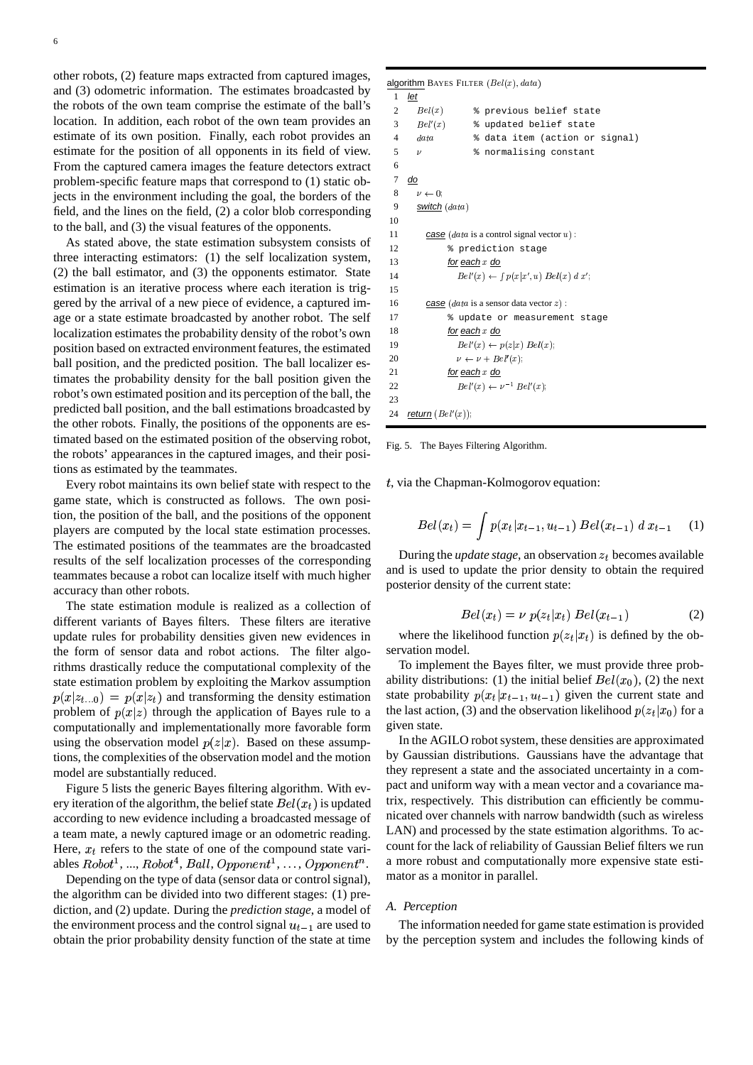other robots, (2) feature maps extracted from captured images, and (3) odometric information. The estimates broadcasted by the robots of the own team comprise the estimate of the ball's location. In addition, each robot of the own team provides an estimate of its own position. Finally, each robot provides an estimate for the position of all opponents in its field of view. From the captured camera images the feature detectors extract problem-specific feature maps that correspond to (1) static objects in the environment including the goal, the borders of the field, and the lines on the field, (2) a color blob corresponding to the ball, and (3) the visual features of the opponents.

As stated above, the state estimation subsystem consists of three interacting estimators: (1) the self localization system, (2) the ball estimator, and (3) the opponents estimator. State estimation is an iterative process where each iteration is triggered by the arrival of a new piece of evidence, a captured image or a state estimate broadcasted by another robot. The self localization estimates the probability density of the robot's own position based on extracted environment features, the estimated ball position, and the predicted position. The ball localizer estimates the probability density for the ball position given the robot's own estimated position and its perception of the ball, the predicted ball position, and the ball estimations broadcasted by the other robots. Finally, the positions of the opponents are estimated based on the estimated position of the observing robot, the robots' appearances in the captured images, and their positions as estimated by the teammates.

Every robot maintains its own belief state with respect to the game state, which is constructed as follows. The own position, the position of the ball, and the positions of the opponent players are computed by the local state estimation processes. The estimated positions of the teammates are the broadcasted results of the self localization processes of the corresponding teammates because a robot can localize itself with much higher accuracy than other robots.

The state estimation module is realized as a collection of different variants of Bayes filters. These filters are iterative update rules for probability densities given new evidences in the form of sensor data and robot actions. The filter algorithms drastically reduce the computational complexity of the state estimation problem by exploiting the Markov assumption  $p(x|z_{t...0}) = p(x|z_t)$  and transforming the density estimation problem of  $p(x|z)$  through the application of Bayes rule to a computationally and implementationally more favorable form using the observation model  $p(z|x)$ . Based on these assumptions, the complexities of the observation model and the motion model are substantially reduced.

Figure 5 lists the generic Bayes filtering algorithm. With every iteration of the algorithm, the belief state  $Bel(x_t)$  is updated according to new evidence including a broadcasted message of a team mate, a newly captured image or an odometric reading. Here,  $x_t$  refers to the state of one of the compound state variables  $Root^{1}, ..., Robot^{4}, Ball, Opponen{t^{1}}, ..., Opponen{t^{n}}.$  a mor

Depending on the type of data (sensor data or control signal), the algorithm can be divided into two different stages: (1) prediction, and (2) update. During the *prediction stage*, a model of the environment process and the control signal  $u_{t-1}$  are used to obtain the prior probability density function of the state at time

```
algorithm BAYES FILTER (Bel(x), data)1 let
2 Bel(x)	
 % previous belief state
3 Bel'(x)	   % updated belief state
4  % data item (action or signal)
5 \nu % normalising constant
6
7 do
8 \quad \nu \leftarrow 09 switch (data)
10
11 case (data is a control signal vector u):
12 % prediction stage
13 for each x do14 Bel'(x) \leftarrow \int p(x|x',u) Bel(x) dx';15
16 case (data is a sensor data vector z):
17 % update or measurement stage
18 for each x do
19 Bel'(x) \leftarrow p(z|x) Bel(x);20 \nu \leftarrow \nu + Bel'(x);21 for each x do22 Bel'(x) \leftarrow \nu^{-1} Bel'(x);23
24 return 
	  
!
```
Fig. 5. The Bayes Filtering Algorithm.

, via the Chapman-Kolmogorov equation:

$$
Bel(x_t) = \int p(x_t | x_{t-1}, u_{t-1}) Bel(x_{t-1}) d x_{t-1} \quad (1)
$$

During the *update* stage, an observation  $z_t$  becomes available and is used to update the prior density to obtain the required posterior density of the current state:

$$
Bel(x_t) = \nu \ p(z_t | x_t) \ Bel(x_{t-1}) \tag{2}
$$

where the likelihood function  $p(z_t|x_t)$  is defined by the observation model.

To implement the Bayes filter, we must provide three probability distributions: (1) the initial belief  $Bel(x_0)$ , (2) the next state probability  $p(x_t | x_{t-1}, u_{t-1})$  given the current state and the last action, (3) and the observation likelihood  $p(z_t|x_0)$  for a given state.

 $t^n$  a more robust and computationally more expensive state esti-In the AGILO robot system, these densities are approximated by Gaussian distributions. Gaussians have the advantage that they represent a state and the associated uncertainty in a compact and uniform way with a mean vector and a covariance matrix, respectively. This distribution can efficiently be communicated over channels with narrow bandwidth (such as wireless LAN) and processed by the state estimation algorithms. To account for the lack of reliability of Gaussian Belief filters we run mator as a monitor in parallel.

## *A. Perception*

The information needed for game state estimation is provided by the perception system and includes the following kinds of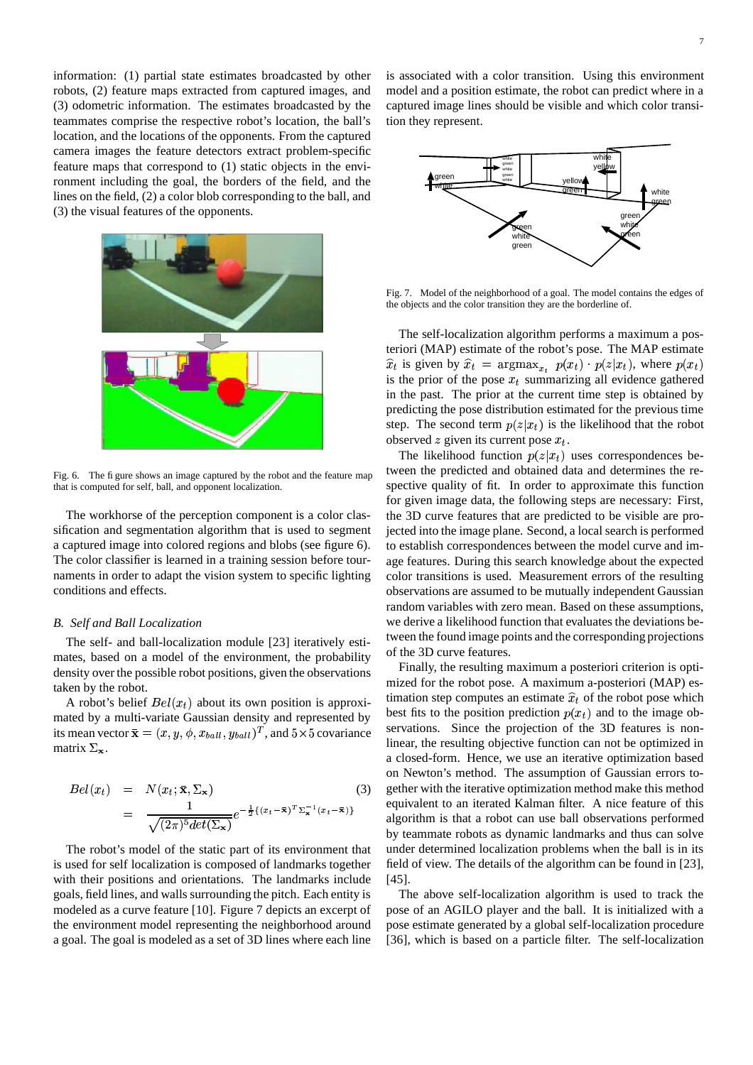information: (1) partial state estimates broadcasted by other robots, (2) feature maps extracted from captured images, and (3) odometric information. The estimates broadcasted by the teammates comprise the respective robot's location, the ball's location, and the locations of the opponents. From the captured camera images the feature detectors extract problem-specific feature maps that correspond to (1) static objects in the environment including the goal, the borders of the field, and the lines on the field, (2) a color blob corresponding to the ball, and (3) the visual features of the opponents.



Fig. 6. The figure shows an image captured by the robot and the feature map that is computed for self, ball, and opponent localization.

The workhorse of the perception component is a color classification and segmentation algorithm that is used to segment a captured image into colored regions and blobs (see figure 6). The color classifier is learned in a training session before tournaments in order to adapt the vision system to specific lighting conditions and effects.

#### *B. Self and Ball Localization*

The self- and ball-localization module [23] iteratively estimates, based on a model of the environment, the probability density over the possible robot positions, given the observations taken by the robot.

A robot's belief  $Bel(x_t)$  about its own position is approximated by a multi-variate Gaussian density and represented by its mean vector  $\bar{\mathbf{x}} = (x, y, \phi, x_{ball}, y_{ball})^T$ , and  $5 \times 5$  covariance matrix  $\Sigma_{\mathbf{x}}$ . .

$$
Bel(x_t) = N(x_t; \bar{\mathbf{x}}, \Sigma_{\mathbf{x}})
$$
  
= 
$$
\frac{1}{\sqrt{(2\pi)^5 det(\Sigma_{\mathbf{x}})}} e^{-\frac{1}{2}\{(x_t - \bar{\mathbf{x}})^T \Sigma_{\mathbf{x}}^{-1} (x_t - \bar{\mathbf{x}})\}}
$$
 (3)

The robot's model of the static part of its environment that is used for self localization is composed of landmarks together with their positions and orientations. The landmarks include goals, field lines, and walls surrounding the pitch. Each entity is modeled as a curve feature [10]. Figure 7 depicts an excerpt of the environment model representing the neighborhood around a goal. The goal is modeled as a set of 3D lines where each line is associated with a color transition. Using this environment model and a position estimate, the robot can predict where in a captured image lines should be visible and which color transition they represent.



Fig. 7. Model of the neighborhood of a goal. The model contains the edges of the objects and the color transition they are the borderline of.

The self-localization algorithm performs a maximum a posteriori (MAP) estimate of the robot's pose. The MAP estimate  $\hat{x}_t$  is given by  $\hat{x}_t = \text{argmax}_{x_t} p(x_t) \cdot p(z|x_t)$ , where  $p(x_t)$ is the prior of the pose  $x_t$  summarizing all evidence gathered in the past. The prior at the current time step is obtained by predicting the pose distribution estimated for the previous time step. The second term  $p(z|x_t)$  is the likelihood that the robot observed z given its current pose  $x_t$ .

The likelihood function  $p(z|x_t)$  uses correspondences between the predicted and obtained data and determines the respective quality of fit. In order to approximate this function for given image data, the following steps are necessary: First, the 3D curve features that are predicted to be visible are projected into the image plane. Second, a local search is performed to establish correspondences between the model curve and image features. During this search knowledge about the expected color transitions is used. Measurement errors of the resulting observations are assumed to be mutually independent Gaussian random variables with zero mean. Based on these assumptions, we derive a likelihood function that evaluates the deviations between the found image points and the corresponding projections of the 3D curve features.

Finally, the resulting maximum a posteriori criterion is optimized for the robot pose. A maximum a-posteriori (MAP) estimation step computes an estimate  $\hat{x}_t$  of the robot pose which best fits to the position prediction  $p(x_t)$  and to the image observations. Since the projection of the 3D features is nonlinear, the resulting objective function can not be optimized in a closed-form. Hence, we use an iterative optimization based on Newton's method. The assumption of Gaussian errors together with the iterative optimization method make this method equivalent to an iterated Kalman filter. A nice feature of this algorithm is that a robot can use ball observations performed by teammate robots as dynamic landmarks and thus can solve under determined localization problems when the ball is in its field of view. The details of the algorithm can be found in [23], [45].

The above self-localization algorithm is used to track the pose of an AGILO player and the ball. It is initialized with a pose estimate generated by a global self-localization procedure [36], which is based on a particle filter. The self-localization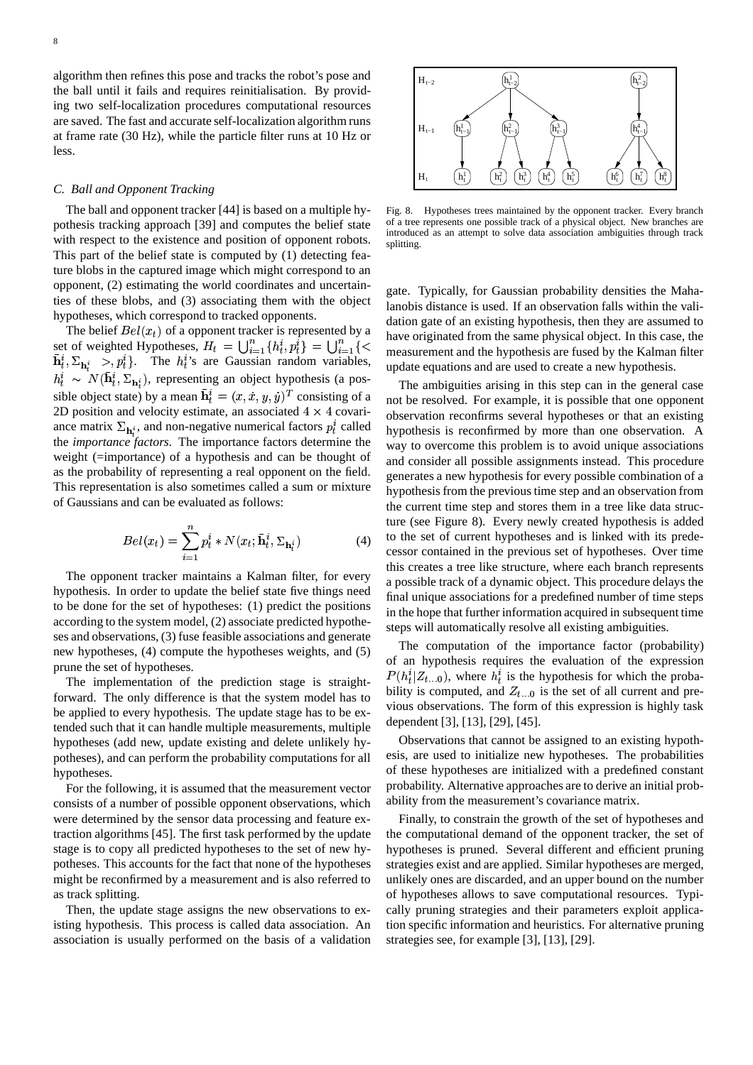algorithm then refines this pose and tracks the robot's pose and the ball until it fails and requires reinitialisation. By providing two self-localization procedures computational resources are saved. The fast and accurate self-localization algorithm runs at frame rate (30 Hz), while the particle filter runs at 10 Hz or less.

## *C. Ball and Opponent Tracking*

The ball and opponent tracker [44] is based on a multiple hypothesis tracking approach [39] and computes the belief state with respect to the existence and position of opponent robots. This part of the belief state is computed by (1) detecting feature blobs in the captured image which might correspond to an opponent, (2) estimating the world coordinates and uncertainties of these blobs, and (3) associating them with the object hypotheses, which correspond to tracked opponents.

The belief  $Bel(x_t)$  of a opponent tracker is represented by a set of weighted Hypotheses,  $H_t = \bigcup_{i=1}^n \{h_t^i, p_t^i\} = \bigcup_{i=1}^n \{ \langle \bigcap_{i=1}^n \mathcal{A}_{-i} \rangle \}$  $\bar{\mathbf{h}}_t^i, \Sigma_{\mathbf{h}_t^i} >, p_t^i$ . The  $h_t^i$ 's are Gaussian random variables,  $h_t^i \sim N(\bar{\mathbf{h}}_t^i, \Sigma_{\mathbf{h}_t^i})$ , representing an object hypothesis (a possible object state) by a mean  $\bar{\mathbf{h}}_t^i = (x, \dot{x}, y, \dot{y})^T$  consisting of a 2D position and velocity estimate, an associated  $4 \times 4$  covariance matrix  $\Sigma_{h_i^i}$ , and non-negative numerical factors  $p_t^i$  called  $h_i$ the *importance factors*. The importance factors determine the weight (=importance) of a hypothesis and can be thought of as the probability of representing a real opponent on the field. This representation is also sometimes called a sum or mixture of Gaussians and can be evaluated as follows:

$$
Bel(x_t) = \sum_{i=1}^{n} p_t^i * N(x_t; \bar{\mathbf{h}}_t^i, \Sigma_{\mathbf{h}_t^i})
$$
(4)

The opponent tracker maintains a Kalman filter, for every hypothesis. In order to update the belief state five things need to be done for the set of hypotheses: (1) predict the positions according to the system model, (2) associate predicted hypotheses and observations, (3) fuse feasible associations and generate new hypotheses, (4) compute the hypotheses weights, and (5) prune the set of hypotheses.

The implementation of the prediction stage is straightforward. The only difference is that the system model has to be applied to every hypothesis. The update stage has to be extended such that it can handle multiple measurements, multiple hypotheses (add new, update existing and delete unlikely hypotheses), and can perform the probability computations for all hypotheses.

For the following, it is assumed that the measurement vector consists of a number of possible opponent observations, which were determined by the sensor data processing and feature extraction algorithms [45]. The first task performed by the update stage is to copy all predicted hypotheses to the set of new hypotheses. This accounts for the fact that none of the hypotheses might be reconfirmed by a measurement and is also referred to as track splitting.

Then, the update stage assigns the new observations to existing hypothesis. This process is called data association. An association is usually performed on the basis of a validation



Fig. 8. Hypotheses trees maintained by the opponent tracker. Every branch of a tree represents one possible track of a physical object. New branches are introduced as an attempt to solve data association ambiguities through track splitting.

 $i=1$ <sup>{<}</sup> measurement and the hypothesis are fused by the Kalman filter gate. Typically, for Gaussian probability densities the Mahalanobis distance is used. If an observation falls within the validation gate of an existing hypothesis, then they are assumed to have originated from the same physical object. In this case, the update equations and are used to create a new hypothesis.

> The ambiguities arising in this step can in the general case not be resolved. For example, it is possible that one opponent observation reconfirms several hypotheses or that an existing hypothesis is reconfirmed by more than one observation. A way to overcome this problem is to avoid unique associations and consider all possible assignments instead. This procedure generates a new hypothesis for every possible combination of a hypothesis from the previous time step and an observation from the current time step and stores them in a tree like data structure (see Figure 8). Every newly created hypothesis is added to the set of current hypotheses and is linked with its predecessor contained in the previous set of hypotheses. Over time this creates a tree like structure, where each branch represents a possible track of a dynamic object. This procedure delays the final unique associations for a predefined number of time steps in the hope that further information acquired in subsequent time steps will automatically resolve all existing ambiguities.

> The computation of the importance factor (probability) of an hypothesis requires the evaluation of the expression  $P(h_t^i|Z_{t...0})$ , where  $h_t^i$  is the hypothesis for which the probability is computed, and  $Z_{t...0}$  is the set of all current and previous observations. The form of this expression is highly task dependent [3], [13], [29], [45].

> Observations that cannot be assigned to an existing hypothesis, are used to initialize new hypotheses. The probabilities of these hypotheses are initialized with a predefined constant probability. Alternative approaches are to derive an initial probability from the measurement's covariance matrix.

> Finally, to constrain the growth of the set of hypotheses and the computational demand of the opponent tracker, the set of hypotheses is pruned. Several different and efficient pruning strategies exist and are applied. Similar hypotheses are merged, unlikely ones are discarded, and an upper bound on the number of hypotheses allows to save computational resources. Typically pruning strategies and their parameters exploit application specific information and heuristics. For alternative pruning strategies see, for example [3], [13], [29].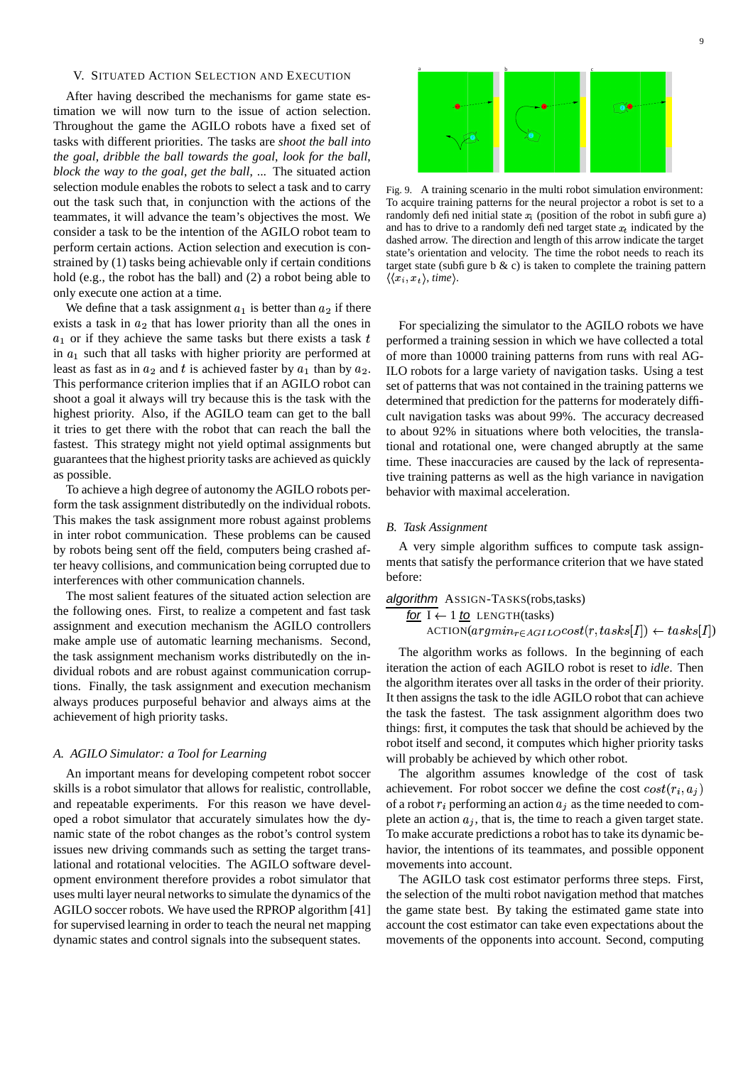# V. SITUATED ACTION SELECTION AND EXECUTION

After having described the mechanisms for game state estimation we will now turn to the issue of action selection. Throughout the game the AGILO robots have a fixed set of tasks with different priorities. The tasks are *shoot the ball into the goal*, *dribble the ball towards the goal*, *look for the ball*, *block the way to the goal*, *get the ball*, ... The situated action selection module enables the robots to select a task and to carry out the task such that, in conjunction with the actions of the teammates, it will advance the team's objectives the most. We consider a task to be the intention of the AGILO robot team to perform certain actions. Action selection and execution is constrained by (1) tasks being achievable only if certain conditions hold (e.g., the robot has the ball) and (2) a robot being able to only execute one action at a time.

We define that a task assignment  $a_1$  is better than  $a_2$  if there exists a task in  $a_2$  that has lower priority than all the ones in  $a_1$  or if they achieve the same tasks but there exists a task  $t$  per in  $a_1$  such that all tasks with higher priority are performed at least as fast as in  $a_2$  and t is achieved faster by  $a_1$  than by  $a_2$ . ILC This performance criterion implies that if an AGILO robot can shoot a goal it always will try because this is the task with the highest priority. Also, if the AGILO team can get to the ball it tries to get there with the robot that can reach the ball the fastest. This strategy might not yield optimal assignments but guarantees that the highest priority tasks are achieved as quickly as possible.

To achieve a high degree of autonomy the AGILO robots perform the task assignment distributedly on the individual robots. This makes the task assignment more robust against problems in inter robot communication. These problems can be caused by robots being sent off the field, computers being crashed after heavy collisions, and communication being corrupted due to interferences with other communication channels.

The most salient features of the situated action selection are the following ones. First, to realize a competent and fast task assignment and execution mechanism the AGILO controllers make ample use of automatic learning mechanisms. Second, the task assignment mechanism works distributedly on the individual robots and are robust against communication corruptions. Finally, the task assignment and execution mechanism always produces purposeful behavior and always aims at the achievement of high priority tasks.

## *A. AGILO Simulator: a Tool for Learning*

An important means for developing competent robot soccer skills is a robot simulator that allows for realistic, controllable, and repeatable experiments. For this reason we have developed a robot simulator that accurately simulates how the dynamic state of the robot changes as the robot's control system issues new driving commands such as setting the target translational and rotational velocities. The AGILO software development environment therefore provides a robot simulator that uses multi layer neural networks to simulate the dynamics of the AGILO soccer robots. We have used the RPROP algorithm [41] for supervised learning in order to teach the neural net mapping dynamic states and control signals into the subsequent states.



Fig. 9. A training scenario in the multi robot simulation environment: To acquire training patterns for the neural projector a robot is set to a randomly defined initial state  $x_i$  (position of the robot in subfigure a) and has to drive to a randomly defined target state  $x_i$  indicated by the dashed arrow. The direction and length of this arrow indicate the target state's orientation and velocity. The time the robot needs to reach its target state (subfigure b  $\& c$ ) is taken to complete the training pattern  $\langle \langle x_i, x_t \rangle$ , time $\rangle$ .

For specializing the simulator to the AGILO robots we have performed a training session in which we have collected a total of more than 10000 training patterns from runs with real AG-ILO robots for a large variety of navigation tasks. Using a test set of patterns that was not contained in the training patterns we determined that prediction for the patterns for moderately difficult navigation tasks was about 99%. The accuracy decreased to about 92% in situations where both velocities, the translational and rotational one, were changed abruptly at the same time. These inaccuracies are caused by the lack of representative training patterns as well as the high variance in navigation behavior with maximal acceleration.

#### *B. Task Assignment*

A very simple algorithm suffices to compute task assignments that satisfy the performance criterion that we have stated before:

algorithm ASSIGN-TASKS(robs,tasks)

for  $I \leftarrow 1$  to LENGTH(tasks) ACTION(ar $gmin_{r \in AGI LO} cost(r, tasks[I]) \leftarrow tasks[I])$ 

The algorithm works as follows. In the beginning of each iteration the action of each AGILO robot is reset to *idle*. Then the algorithm iterates over all tasks in the order of their priority. It then assigns the task to the idle AGILO robot that can achieve the task the fastest. The task assignment algorithm does two things: first, it computes the task that should be achieved by the robot itself and second, it computes which higher priority tasks will probably be achieved by which other robot.

The algorithm assumes knowledge of the cost of task achievement. For robot soccer we define the cost  $cost(r_i, a_i)$ of a robot  $r_i$  performing an action  $a_j$  as the time needed to complete an action  $a_j$ , that is, the time to reach a given target state. To make accurate predictions a robot has to take its dynamic behavior, the intentions of its teammates, and possible opponent movements into account.

The AGILO task cost estimator performs three steps. First, the selection of the multi robot navigation method that matches the game state best. By taking the estimated game state into account the cost estimator can take even expectations about the movements of the opponents into account. Second, computing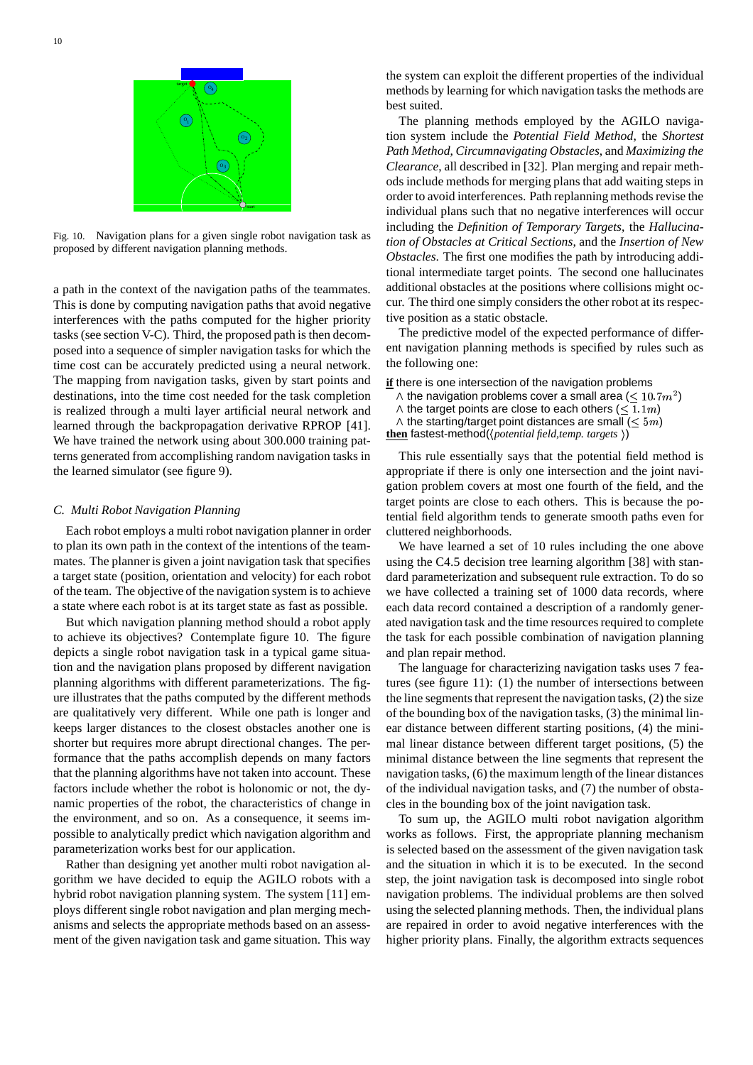

Fig. 10. Navigation plans for a given single robot navigation task as proposed by different navigation planning methods.

a path in the context of the navigation paths of the teammates. This is done by computing navigation paths that avoid negative interferences with the paths computed for the higher priority tasks (see section V-C). Third, the proposed path is then decomposed into a sequence of simpler navigation tasks for which the time cost can be accurately predicted using a neural network. The mapping from navigation tasks, given by start points and destinations, into the time cost needed for the task completion is realized through a multi layer artificial neural network and learned through the backpropagation derivative RPROP [41]. We have trained the network using about 300.000 training patterns generated from accomplishing random navigation tasks in the learned simulator (see figure 9).

#### *C. Multi Robot Navigation Planning*

Each robot employs a multi robot navigation planner in order to plan its own path in the context of the intentions of the teammates. The planner is given a joint navigation task that specifies a target state (position, orientation and velocity) for each robot of the team. The objective of the navigation system is to achieve a state where each robot is at its target state as fast as possible.

But which navigation planning method should a robot apply to achieve its objectives? Contemplate figure 10. The figure depicts a single robot navigation task in a typical game situation and the navigation plans proposed by different navigation planning algorithms with different parameterizations. The figure illustrates that the paths computed by the different methods are qualitatively very different. While one path is longer and keeps larger distances to the closest obstacles another one is shorter but requires more abrupt directional changes. The performance that the paths accomplish depends on many factors that the planning algorithms have not taken into account. These factors include whether the robot is holonomic or not, the dynamic properties of the robot, the characteristics of change in the environment, and so on. As a consequence, it seems impossible to analytically predict which navigation algorithm and parameterization works best for our application.

Rather than designing yet another multi robot navigation algorithm we have decided to equip the AGILO robots with a hybrid robot navigation planning system. The system [11] employs different single robot navigation and plan merging mechanisms and selects the appropriate methods based on an assessment of the given navigation task and game situation. This way the system can exploit the different properties of the individual methods by learning for which navigation tasks the methods are best suited.

The planning methods employed by the AGILO navigation system include the *Potential Field Method*, the *Shortest Path Method*, *Circumnavigating Obstacles*, and *Maximizing the Clearance*, all described in [32]. Plan merging and repair methods include methods for merging plans that add waiting steps in order to avoid interferences. Path replanning methods revise the individual plans such that no negative interferences will occur including the *Definition of Temporary Targets*, the *Hallucination of Obstacles at Critical Sections*, and the *Insertion of New Obstacles*. The first one modifies the path by introducing additional intermediate target points. The second one hallucinates additional obstacles at the positions where collisions might occur. The third one simply considers the other robot at its respective position as a static obstacle.

The predictive model of the expected performance of different navigation planning methods is specified by rules such as the following one:

**if** there is one intersection of the navigation problems

- $\wedge$  the navigation problems cover a small area ( $\leq 10.7 m^2)$
- $\wedge$  the target points are close to each others ( $\leq 1.1 m)$
- $\wedge$  the starting/target point distances are small ( $\le 5m$ )
- **then** fastest-method( *potential field,temp. targets* )

This rule essentially says that the potential field method is appropriate if there is only one intersection and the joint navigation problem covers at most one fourth of the field, and the target points are close to each others. This is because the potential field algorithm tends to generate smooth paths even for cluttered neighborhoods.

We have learned a set of 10 rules including the one above using the C4.5 decision tree learning algorithm [38] with standard parameterization and subsequent rule extraction. To do so we have collected a training set of 1000 data records, where each data record contained a description of a randomly generated navigation task and the time resources required to complete the task for each possible combination of navigation planning and plan repair method.

The language for characterizing navigation tasks uses 7 features (see figure 11): (1) the number of intersections between the line segments that represent the navigation tasks,  $(2)$  the size of the bounding box of the navigation tasks, (3) the minimal linear distance between different starting positions, (4) the minimal linear distance between different target positions, (5) the minimal distance between the line segments that represent the navigation tasks, (6) the maximum length of the linear distances of the individual navigation tasks, and (7) the number of obstacles in the bounding box of the joint navigation task.

To sum up, the AGILO multi robot navigation algorithm works as follows. First, the appropriate planning mechanism is selected based on the assessment of the given navigation task and the situation in which it is to be executed. In the second step, the joint navigation task is decomposed into single robot navigation problems. The individual problems are then solved using the selected planning methods. Then, the individual plans are repaired in order to avoid negative interferences with the higher priority plans. Finally, the algorithm extracts sequences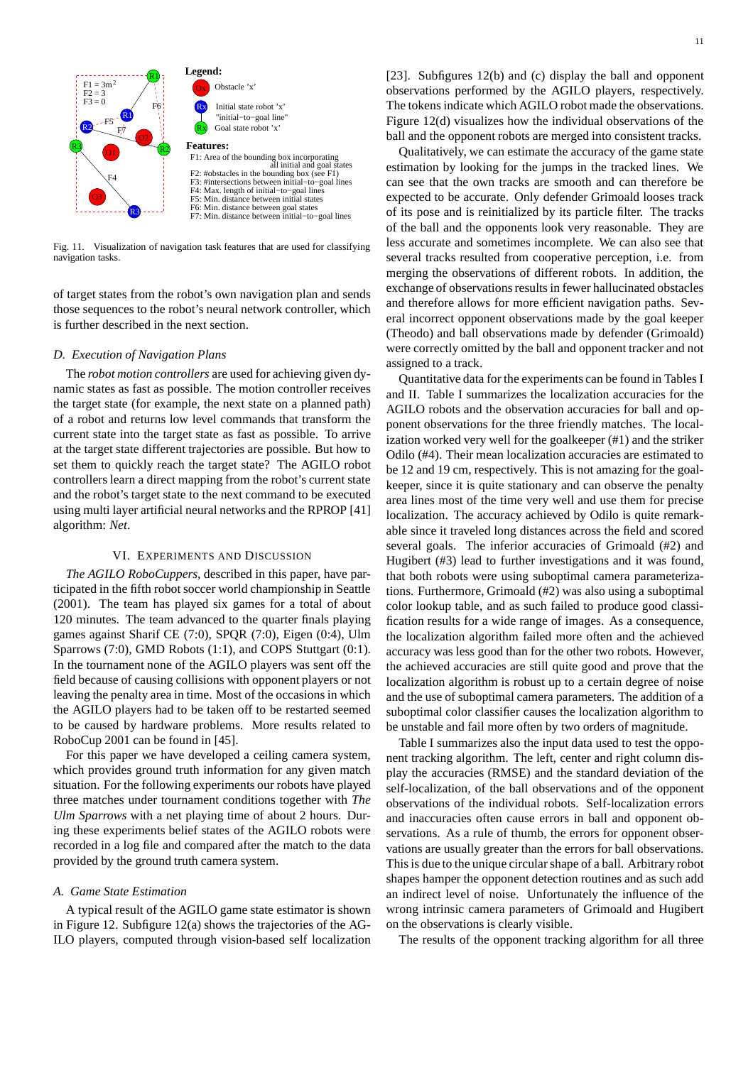

Fig. 11. Visualization of navigation task features that are used for classifying navigation tasks.

of target states from the robot's own navigation plan and sends those sequences to the robot's neural network controller, which is further described in the next section.

## *D. Execution of Navigation Plans*

The *robot motion controllers* are used for achieving given dynamic states as fast as possible. The motion controller receives the target state (for example, the next state on a planned path) of a robot and returns low level commands that transform the current state into the target state as fast as possible. To arrive at the target state different trajectories are possible. But how to set them to quickly reach the target state? The AGILO robot controllers learn a direct mapping from the robot's current state and the robot's target state to the next command to be executed using multi layer artificial neural networks and the RPROP [41] algorithm: *Net*.

## VI. EXPERIMENTS AND DISCUSSION

*The AGILO RoboCuppers*, described in this paper, have participated in the fifth robot soccer world championship in Seattle (2001). The team has played six games for a total of about 120 minutes. The team advanced to the quarter finals playing games against Sharif CE (7:0), SPQR (7:0), Eigen (0:4), Ulm Sparrows (7:0), GMD Robots (1:1), and COPS Stuttgart (0:1). In the tournament none of the AGILO players was sent off the field because of causing collisions with opponent players or not leaving the penalty area in time. Most of the occasions in which the AGILO players had to be taken off to be restarted seemed to be caused by hardware problems. More results related to RoboCup 2001 can be found in [45].

For this paper we have developed a ceiling camera system, which provides ground truth information for any given match situation. For the following experiments our robots have played three matches under tournament conditions together with *The Ulm Sparrows* with a net playing time of about 2 hours. During these experiments belief states of the AGILO robots were recorded in a log file and compared after the match to the data provided by the ground truth camera system.

## *A. Game State Estimation*

A typical result of the AGILO game state estimator is shown in Figure 12. Subfigure 12(a) shows the trajectories of the AG-ILO players, computed through vision-based self localization [23]. Subfigures 12(b) and (c) display the ball and opponent observations performed by the AGILO players, respectively. The tokens indicate which AGILO robot made the observations. Figure 12(d) visualizes how the individual observations of the ball and the opponent robots are merged into consistent tracks.

Qualitatively, we can estimate the accuracy of the game state estimation by looking for the jumps in the tracked lines. We can see that the own tracks are smooth and can therefore be expected to be accurate. Only defender Grimoald looses track of its pose and is reinitialized by its particle filter. The tracks of the ball and the opponents look very reasonable. They are less accurate and sometimes incomplete. We can also see that several tracks resulted from cooperative perception, i.e. from merging the observations of different robots. In addition, the exchange of observations results in fewer hallucinated obstacles and therefore allows for more efficient navigation paths. Several incorrect opponent observations made by the goal keeper (Theodo) and ball observations made by defender (Grimoald) were correctly omitted by the ball and opponent tracker and not assigned to a track.

Quantitative data for the experiments can be found in Tables I and II. Table I summarizes the localization accuracies for the AGILO robots and the observation accuracies for ball and opponent observations for the three friendly matches. The localization worked very well for the goalkeeper (#1) and the striker Odilo (#4). Their mean localization accuracies are estimated to be 12 and 19 cm, respectively. This is not amazing for the goalkeeper, since it is quite stationary and can observe the penalty area lines most of the time very well and use them for precise localization. The accuracy achieved by Odilo is quite remarkable since it traveled long distances across the field and scored several goals. The inferior accuracies of Grimoald (#2) and Hugibert (#3) lead to further investigations and it was found, that both robots were using suboptimal camera parameterizations. Furthermore, Grimoald (#2) was also using a suboptimal color lookup table, and as such failed to produce good classification results for a wide range of images. As a consequence, the localization algorithm failed more often and the achieved accuracy was less good than for the other two robots. However, the achieved accuracies are still quite good and prove that the localization algorithm is robust up to a certain degree of noise and the use of suboptimal camera parameters. The addition of a suboptimal color classifier causes the localization algorithm to be unstable and fail more often by two orders of magnitude.

Table I summarizes also the input data used to test the opponent tracking algorithm. The left, center and right column display the accuracies (RMSE) and the standard deviation of the self-localization, of the ball observations and of the opponent observations of the individual robots. Self-localization errors and inaccuracies often cause errors in ball and opponent observations. As a rule of thumb, the errors for opponent observations are usually greater than the errors for ball observations. This is due to the unique circular shape of a ball. Arbitrary robot shapes hamper the opponent detection routines and as such add an indirect level of noise. Unfortunately the influence of the wrong intrinsic camera parameters of Grimoald and Hugibert on the observations is clearly visible.

The results of the opponent tracking algorithm for all three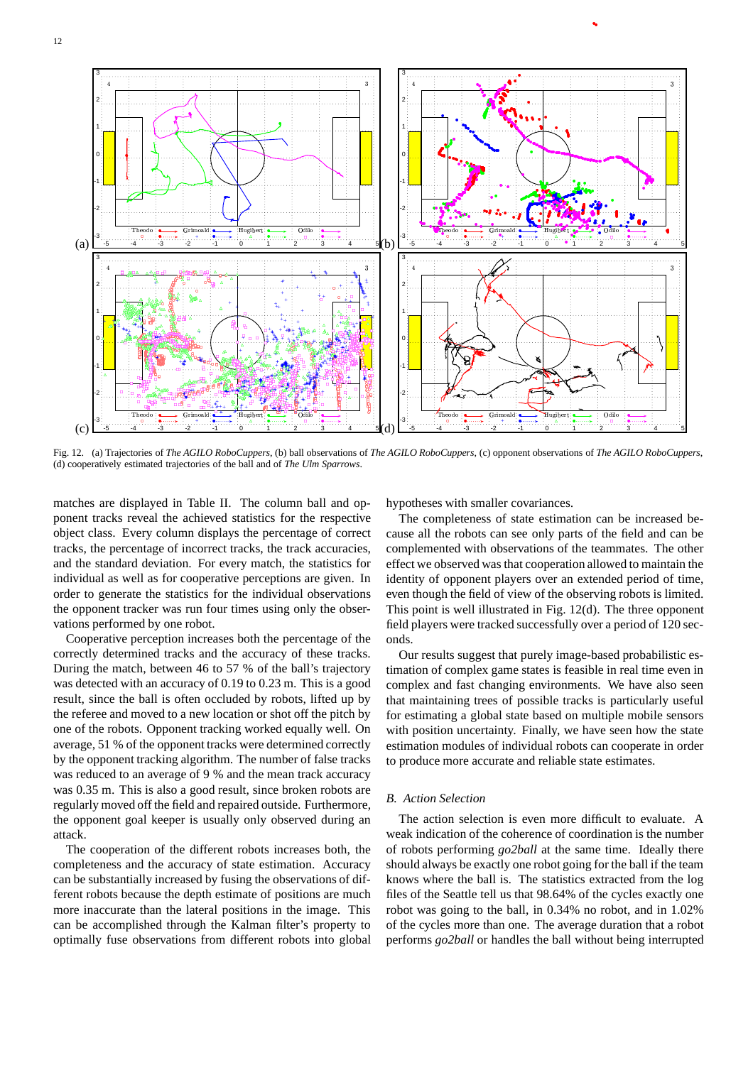

12



Fig. 12. (a) Trajectories of *The AGILO RoboCuppers*, (b) ball observations of *The AGILO RoboCuppers*, (c) opponent observations of *The AGILO RoboCuppers*, (d) cooperatively estimated trajectories of the ball and of *The Ulm Sparrows*.

matches are displayed in Table II. The column ball and opponent tracks reveal the achieved statistics for the respective object class. Every column displays the percentage of correct tracks, the percentage of incorrect tracks, the track accuracies, and the standard deviation. For every match, the statistics for individual as well as for cooperative perceptions are given. In order to generate the statistics for the individual observations the opponent tracker was run four times using only the observations performed by one robot.

Cooperative perception increases both the percentage of the correctly determined tracks and the accuracy of these tracks. During the match, between 46 to 57 % of the ball's trajectory was detected with an accuracy of 0.19 to 0.23 m. This is a good result, since the ball is often occluded by robots, lifted up by the referee and moved to a new location or shot off the pitch by one of the robots. Opponent tracking worked equally well. On average, 51 % of the opponent tracks were determined correctly by the opponent tracking algorithm. The number of false tracks was reduced to an average of 9 % and the mean track accuracy was 0.35 m. This is also a good result, since broken robots are regularly moved off the field and repaired outside. Furthermore, the opponent goal keeper is usually only observed during an attack.

The cooperation of the different robots increases both, the completeness and the accuracy of state estimation. Accuracy can be substantially increased by fusing the observations of different robots because the depth estimate of positions are much more inaccurate than the lateral positions in the image. This can be accomplished through the Kalman filter's property to optimally fuse observations from different robots into global hypotheses with smaller covariances.

The completeness of state estimation can be increased because all the robots can see only parts of the field and can be complemented with observations of the teammates. The other effect we observed was that cooperation allowed to maintain the identity of opponent players over an extended period of time, even though the field of view of the observing robots is limited. This point is well illustrated in Fig. 12(d). The three opponent field players were tracked successfully over a period of 120 seconds.

 $\blacksquare$ 

Our results suggest that purely image-based probabilistic estimation of complex game states is feasible in real time even in complex and fast changing environments. We have also seen that maintaining trees of possible tracks is particularly useful for estimating a global state based on multiple mobile sensors with position uncertainty. Finally, we have seen how the state estimation modules of individual robots can cooperate in order to produce more accurate and reliable state estimates.

## *B. Action Selection*

The action selection is even more difficult to evaluate. A weak indication of the coherence of coordination is the number of robots performing *go2ball* at the same time. Ideally there should always be exactly one robot going for the ball if the team knows where the ball is. The statistics extracted from the log files of the Seattle tell us that 98.64% of the cycles exactly one robot was going to the ball, in 0.34% no robot, and in 1.02% of the cycles more than one. The average duration that a robot performs *go2ball* or handles the ball without being interrupted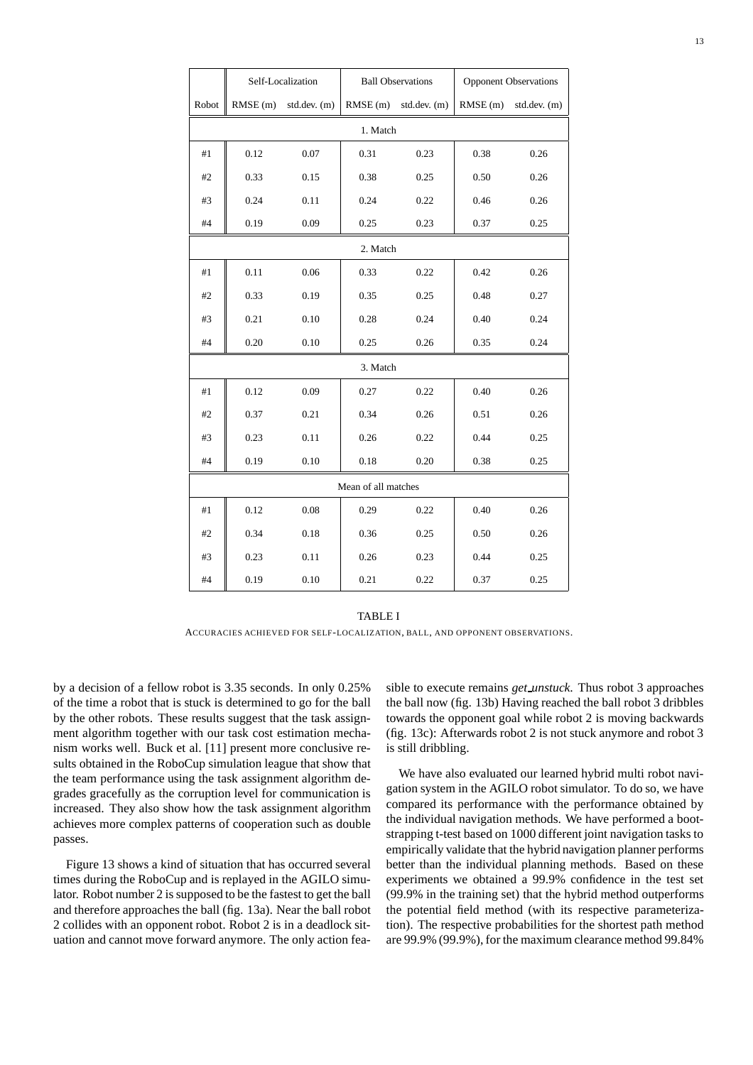|                     | Self-Localization |              | <b>Ball Observations</b> |              | <b>Opponent Observations</b> |              |
|---------------------|-------------------|--------------|--------------------------|--------------|------------------------------|--------------|
| Robot               | RMSE(m)           | std.dev. (m) | RMSE(m)                  | std.dev. (m) | RMSE(m)                      | std.dev. (m) |
| 1. Match            |                   |              |                          |              |                              |              |
| #1                  | 0.12              | 0.07         | 0.31                     | 0.23         | 0.38                         | 0.26         |
| #2                  | 0.33              | 0.15         | 0.38                     | 0.25         | 0.50                         | 0.26         |
| #3                  | 0.24              | 0.11         | 0.24                     | 0.22         | 0.46                         | 0.26         |
| #4                  | 0.19              | 0.09         | 0.25                     | 0.23         | 0.37                         | 0.25         |
| 2. Match            |                   |              |                          |              |                              |              |
| #1                  | 0.11              | 0.06         | 0.33                     | 0.22         | 0.42                         | 0.26         |
| #2                  | 0.33              | 0.19         | 0.35                     | 0.25         | 0.48                         | 0.27         |
| #3                  | 0.21              | 0.10         | 0.28                     | 0.24         | 0.40                         | 0.24         |
| #4                  | 0.20              | 0.10         | 0.25                     | 0.26         | 0.35                         | 0.24         |
| 3. Match            |                   |              |                          |              |                              |              |
| #1                  | 0.12              | 0.09         | 0.27                     | 0.22         | 0.40                         | 0.26         |
| #2                  | 0.37              | 0.21         | 0.34                     | 0.26         | 0.51                         | 0.26         |
| #3                  | 0.23              | 0.11         | 0.26                     | 0.22         | 0.44                         | 0.25         |
| #4                  | 0.19              | $0.10\,$     | 0.18                     | 0.20         | 0.38                         | 0.25         |
| Mean of all matches |                   |              |                          |              |                              |              |
| #1                  | 0.12              | 0.08         | 0.29                     | 0.22         | 0.40                         | 0.26         |
| #2                  | 0.34              | 0.18         | 0.36                     | 0.25         | 0.50                         | 0.26         |
| #3                  | 0.23              | 0.11         | 0.26                     | 0.23         | 0.44                         | 0.25         |
| #4                  | 0.19              | 0.10         | 0.21                     | 0.22         | 0.37                         | 0.25         |

#### TABLE I

ACCURACIES ACHIEVED FOR SELF-LOCALIZATION, BALL, AND OPPONENT OBSERVATIONS.

by a decision of a fellow robot is 3.35 seconds. In only 0.25% of the time a robot that is stuck is determined to go for the ball by the other robots. These results suggest that the task assignment algorithm together with our task cost estimation mechanism works well. Buck et al. [11] present more conclusive results obtained in the RoboCup simulation league that show that the team performance using the task assignment algorithm degrades gracefully as the corruption level for communication is increased. They also show how the task assignment algorithm achieves more complex patterns of cooperation such as double passes.

Figure 13 shows a kind of situation that has occurred several times during the RoboCup and is replayed in the AGILO simulator. Robot number 2 is supposed to be the fastest to get the ball and therefore approaches the ball (fig. 13a). Near the ball robot 2 collides with an opponent robot. Robot 2 is in a deadlock situation and cannot move forward anymore. The only action feasible to execute remains *get unstuck*. Thus robot 3 approaches the ball now (fig. 13b) Having reached the ball robot 3 dribbles towards the opponent goal while robot 2 is moving backwards (fig. 13c): Afterwards robot 2 is not stuck anymore and robot 3 is still dribbling.

We have also evaluated our learned hybrid multi robot navigation system in the AGILO robot simulator. To do so, we have compared its performance with the performance obtained by the individual navigation methods. We have performed a bootstrapping t-test based on 1000 different joint navigation tasks to empirically validate that the hybrid navigation planner performs better than the individual planning methods. Based on these experiments we obtained a 99.9% confidence in the test set (99.9% in the training set) that the hybrid method outperforms the potential field method (with its respective parameterization). The respective probabilities for the shortest path method are 99.9% (99.9%), for the maximum clearance method 99.84%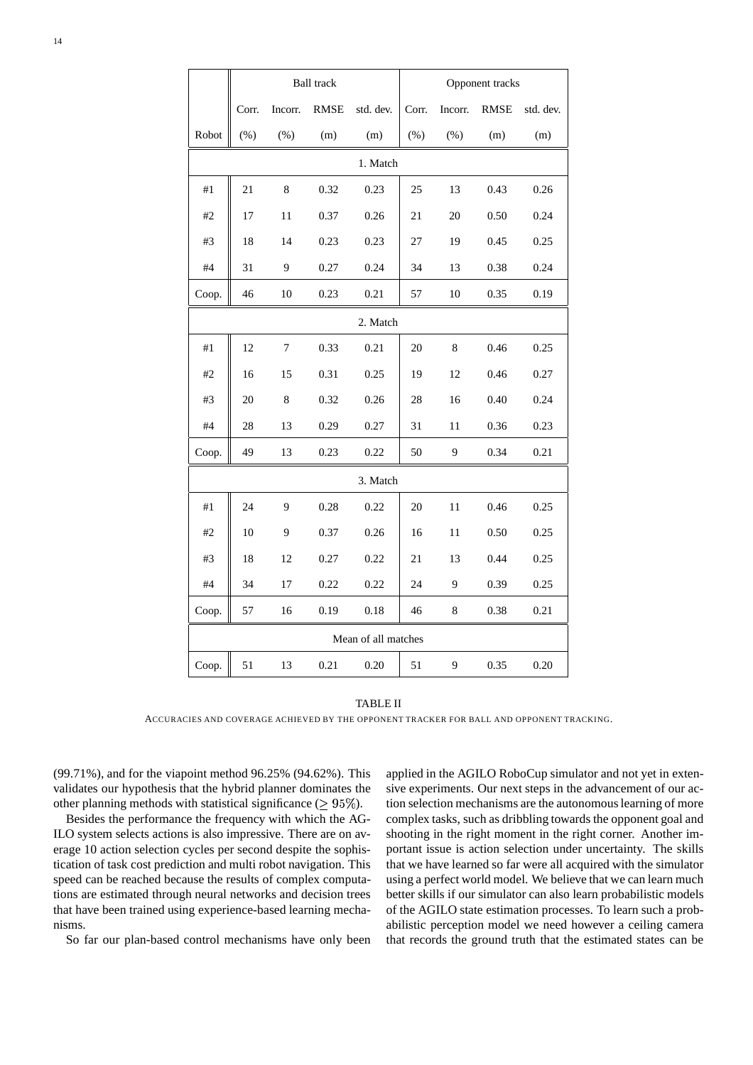|                     | <b>Ball</b> track |                  |             | Opponent tracks |         |         |             |           |
|---------------------|-------------------|------------------|-------------|-----------------|---------|---------|-------------|-----------|
|                     | Corr.             | Incorr.          | <b>RMSE</b> | std. dev.       | Corr.   | Incorr. | <b>RMSE</b> | std. dev. |
| Robot               | $(\% )$           | $(\% )$          | (m)         | (m)             | $(\% )$ | $(\% )$ | (m)         | (m)       |
|                     |                   |                  |             | 1. Match        |         |         |             |           |
| #1                  | 21                | $\,8\,$          | 0.32        | 0.23            | 25      | 13      | 0.43        | 0.26      |
| #2                  | 17                | 11               | 0.37        | 0.26            | 21      | 20      | 0.50        | 0.24      |
| #3                  | 18                | 14               | 0.23        | 0.23            | 27      | 19      | 0.45        | 0.25      |
| #4                  | 31                | 9                | 0.27        | 0.24            | 34      | 13      | 0.38        | 0.24      |
| Coop.               | 46                | 10               | 0.23        | 0.21            | 57      | 10      | 0.35        | 0.19      |
|                     |                   |                  |             | 2. Match        |         |         |             |           |
| #1                  | 12                | $\boldsymbol{7}$ | 0.33        | 0.21            | 20      | 8       | 0.46        | 0.25      |
| #2                  | 16                | 15               | 0.31        | 0.25            | 19      | 12      | 0.46        | 0.27      |
| #3                  | 20                | 8                | 0.32        | 0.26            | 28      | 16      | 0.40        | 0.24      |
| $#4$                | 28                | 13               | 0.29        | 0.27            | 31      | 11      | 0.36        | 0.23      |
| Coop.               | 49                | 13               | 0.23        | 0.22            | 50      | 9       | 0.34        | 0.21      |
| 3. Match            |                   |                  |             |                 |         |         |             |           |
| #1                  | 24                | 9                | 0.28        | 0.22            | 20      | 11      | 0.46        | 0.25      |
| #2                  | 10                | 9                | 0.37        | 0.26            | 16      | 11      | 0.50        | 0.25      |
| #3                  | 18                | 12               | 0.27        | 0.22            | 21      | 13      | 0.44        | 0.25      |
| #4                  | 34                | 17               | 0.22        | 0.22            | 24      | 9       | 0.39        | 0.25      |
| Coop.               | 57                | 16               | 0.19        | 0.18            | 46      | 8       | 0.38        | 0.21      |
| Mean of all matches |                   |                  |             |                 |         |         |             |           |
| Coop.               | 51                | 13               | 0.21        | 0.20            | 51      | 9       | 0.35        | 0.20      |

#### TABLE II

ACCURACIES AND COVERAGE ACHIEVED BY THE OPPONENT TRACKER FOR BALL AND OPPONENT TRACKING.

(99.71%), and for the viapoint method 96.25% (94.62%). This validates our hypothesis that the hybrid planner dominates the other planning methods with statistical significance ( $\geq 95\%$ ).

Besides the performance the frequency with which the AG-ILO system selects actions is also impressive. There are on average 10 action selection cycles per second despite the sophistication of task cost prediction and multi robot navigation. This speed can be reached because the results of complex computations are estimated through neural networks and decision trees that have been trained using experience-based learning mechanisms.

So far our plan-based control mechanisms have only been

applied in the AGILO RoboCup simulator and not yet in extensive experiments. Our next steps in the advancement of our action selection mechanisms are the autonomouslearning of more complex tasks, such as dribbling towards the opponent goal and shooting in the right moment in the right corner. Another important issue is action selection under uncertainty. The skills that we have learned so far were all acquired with the simulator using a perfect world model. We believe that we can learn much better skills if our simulator can also learn probabilistic models of the AGILO state estimation processes. To learn such a probabilistic perception model we need however a ceiling camera that records the ground truth that the estimated states can be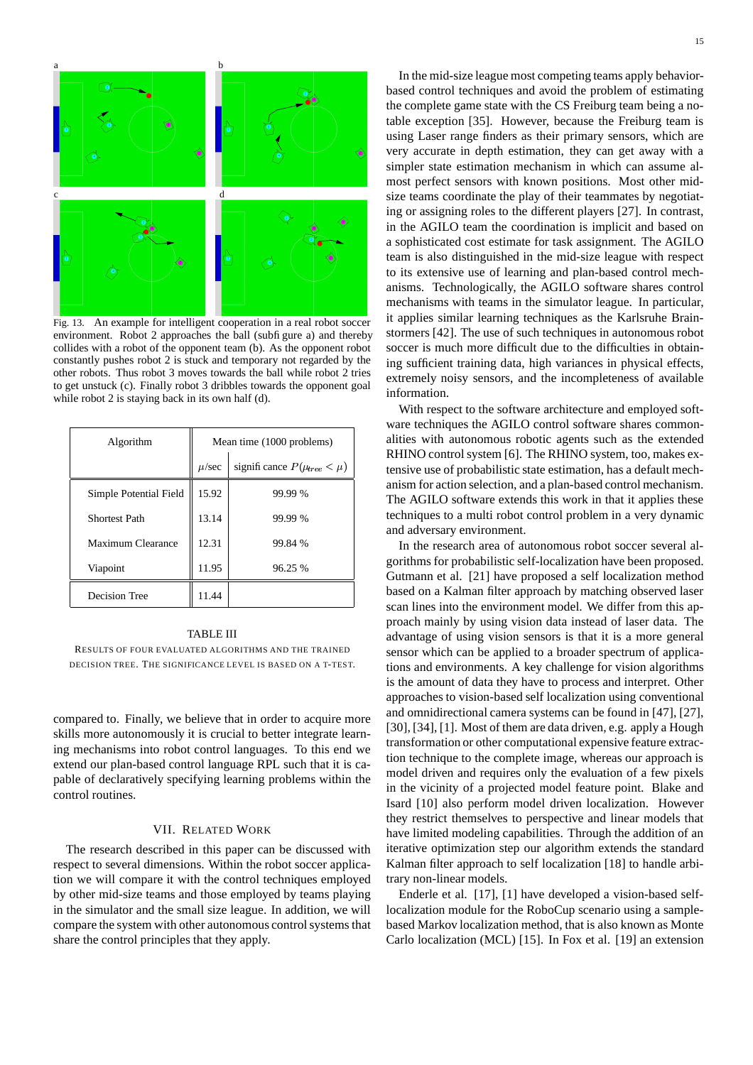

Fig. 13. An example for intelligent cooperation in a real robot soccer environment. Robot 2 approaches the ball (subfigure a) and thereby collides with a robot of the opponent team (b). As the opponent robot constantly pushes robot 2 is stuck and temporary not regarded by the other robots. Thus robot 3 moves towards the ball while robot 2 tries to get unstuck (c). Finally robot 3 dribbles towards the opponent goal while robot 2 is staying back in its own half (d).

| Algorithm              | Mean time (1000 problems) |                                    |  |
|------------------------|---------------------------|------------------------------------|--|
|                        | $\mu$ /sec                | significance $P(\mu_{tree} < \mu)$ |  |
| Simple Potential Field | 15.92                     | 99.99 %                            |  |
| <b>Shortest Path</b>   | 13.14                     | 99.99 %                            |  |
| Maximum Clearance      | 12.31                     | 99.84 %                            |  |
| Viapoint               | 11.95                     | 96.25 %                            |  |
| Decision Tree          | 11.44                     |                                    |  |

## TABLE III

RESULTS OF FOUR EVALUATED ALGORITHMS AND THE TRAINED DECISION TREE. THE SIGNIFICANCE LEVEL IS BASED ON A T-TEST.

compared to. Finally, we believe that in order to acquire more skills more autonomously it is crucial to better integrate learning mechanisms into robot control languages. To this end we extend our plan-based control language RPL such that it is capable of declaratively specifying learning problems within the control routines.

## VII. RELATED WORK

The research described in this paper can be discussed with respect to several dimensions. Within the robot soccer application we will compare it with the control techniques employed by other mid-size teams and those employed by teams playing in the simulator and the small size league. In addition, we will compare the system with other autonomous controlsystems that share the control principles that they apply.

In the mid-size league most competing teams apply behaviorbased control techniques and avoid the problem of estimating the complete game state with the CS Freiburg team being a notable exception [35]. However, because the Freiburg team is using Laser range finders as their primary sensors, which are very accurate in depth estimation, they can get away with a simpler state estimation mechanism in which can assume almost perfect sensors with known positions. Most other midsize teams coordinate the play of their teammates by negotiating or assigning roles to the different players [27]. In contrast, in the AGILO team the coordination is implicit and based on a sophisticated cost estimate for task assignment. The AGILO team is also distinguished in the mid-size league with respect to its extensive use of learning and plan-based control mechanisms. Technologically, the AGILO software shares control mechanisms with teams in the simulator league. In particular, it applies similar learning techniques as the Karlsruhe Brainstormers [42]. The use of such techniques in autonomous robot soccer is much more difficult due to the difficulties in obtaining sufficient training data, high variances in physical effects, extremely noisy sensors, and the incompleteness of available information.

With respect to the software architecture and employed software techniques the AGILO control software shares commonalities with autonomous robotic agents such as the extended RHINO control system [6]. The RHINO system, too, makes extensive use of probabilistic state estimation, has a default mechanism for action selection, and a plan-based control mechanism. The AGILO software extends this work in that it applies these techniques to a multi robot control problem in a very dynamic and adversary environment.

In the research area of autonomous robot soccer several algorithms for probabilistic self-localization have been proposed. Gutmann et al. [21] have proposed a self localization method based on a Kalman filter approach by matching observed laser scan lines into the environment model. We differ from this approach mainly by using vision data instead of laser data. The advantage of using vision sensors is that it is a more general sensor which can be applied to a broader spectrum of applications and environments. A key challenge for vision algorithms is the amount of data they have to process and interpret. Other approaches to vision-based self localization using conventional and omnidirectional camera systems can be found in [47], [27], [30], [34], [1]. Most of them are data driven, e.g. apply a Hough transformation or other computational expensive feature extraction technique to the complete image, whereas our approach is model driven and requires only the evaluation of a few pixels in the vicinity of a projected model feature point. Blake and Isard [10] also perform model driven localization. However they restrict themselves to perspective and linear models that have limited modeling capabilities. Through the addition of an iterative optimization step our algorithm extends the standard Kalman filter approach to self localization [18] to handle arbitrary non-linear models.

Enderle et al. [17], [1] have developed a vision-based selflocalization module for the RoboCup scenario using a samplebased Markov localization method, that is also known as Monte Carlo localization (MCL) [15]. In Fox et al. [19] an extension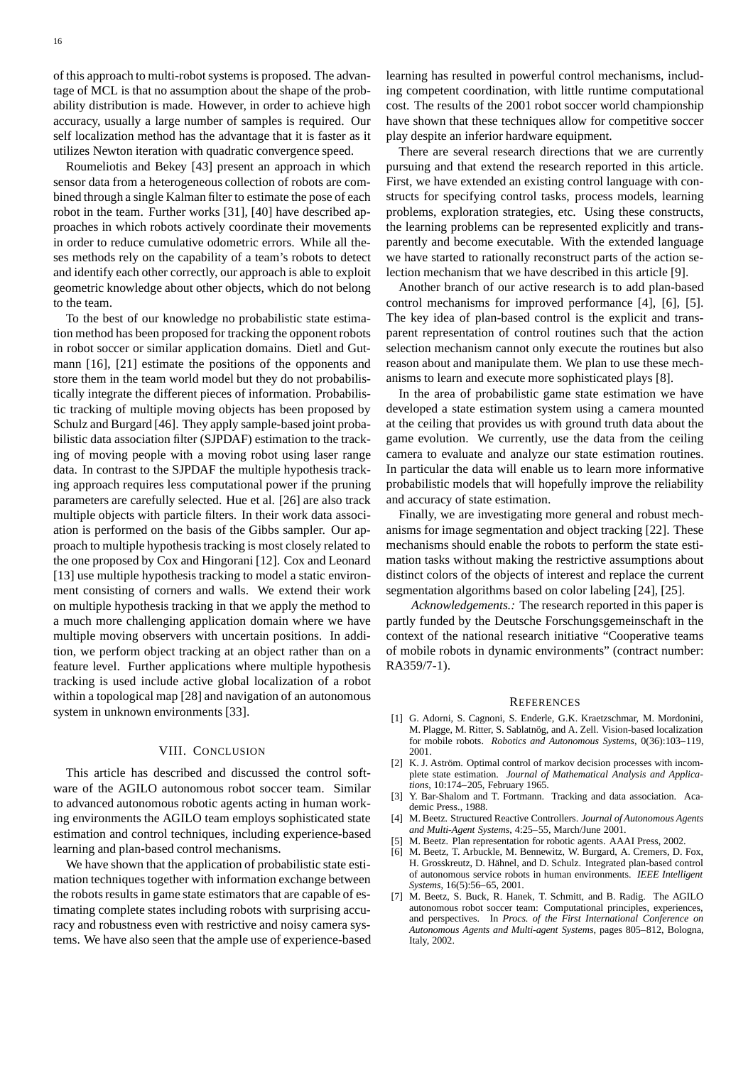of this approach to multi-robot systems is proposed. The advantage of MCL is that no assumption about the shape of the probability distribution is made. However, in order to achieve high accuracy, usually a large number of samples is required. Our self localization method has the advantage that it is faster as it utilizes Newton iteration with quadratic convergence speed.

Roumeliotis and Bekey [43] present an approach in which sensor data from a heterogeneous collection of robots are combined through a single Kalman filter to estimate the pose of each robot in the team. Further works [31], [40] have described approaches in which robots actively coordinate their movements in order to reduce cumulative odometric errors. While all theses methods rely on the capability of a team's robots to detect and identify each other correctly, our approach is able to exploit geometric knowledge about other objects, which do not belong to the team.

To the best of our knowledge no probabilistic state estimation method has been proposed for tracking the opponent robots in robot soccer or similar application domains. Dietl and Gutmann [16], [21] estimate the positions of the opponents and store them in the team world model but they do not probabilistically integrate the different pieces of information. Probabilistic tracking of multiple moving objects has been proposed by Schulz and Burgard [46]. They apply sample-based joint probabilistic data association filter (SJPDAF) estimation to the tracking of moving people with a moving robot using laser range data. In contrast to the SJPDAF the multiple hypothesis tracking approach requires less computational power if the pruning parameters are carefully selected. Hue et al. [26] are also track multiple objects with particle filters. In their work data association is performed on the basis of the Gibbs sampler. Our approach to multiple hypothesistracking is most closely related to the one proposed by Cox and Hingorani [12]. Cox and Leonard [13] use multiple hypothesis tracking to model a static environment consisting of corners and walls. We extend their work on multiple hypothesis tracking in that we apply the method to a much more challenging application domain where we have multiple moving observers with uncertain positions. In addition, we perform object tracking at an object rather than on a feature level. Further applications where multiple hypothesis tracking is used include active global localization of a robot within a topological map [28] and navigation of an autonomous system in unknown environments [33].

#### VIII. CONCLUSION

This article has described and discussed the control software of the AGILO autonomous robot soccer team. Similar to advanced autonomous robotic agents acting in human working environments the AGILO team employs sophisticated state estimation and control techniques, including experience-based learning and plan-based control mechanisms.

We have shown that the application of probabilistic state estimation techniques together with information exchange between the robots results in game state estimators that are capable of estimating complete states including robots with surprising accuracy and robustness even with restrictive and noisy camera systems. We have also seen that the ample use of experience-based learning has resulted in powerful control mechanisms, including competent coordination, with little runtime computational cost. The results of the 2001 robot soccer world championship have shown that these techniques allow for competitive soccer play despite an inferior hardware equipment.

There are several research directions that we are currently pursuing and that extend the research reported in this article. First, we have extended an existing control language with constructs for specifying control tasks, process models, learning problems, exploration strategies, etc. Using these constructs, the learning problems can be represented explicitly and transparently and become executable. With the extended language we have started to rationally reconstruct parts of the action selection mechanism that we have described in this article [9].

Another branch of our active research is to add plan-based control mechanisms for improved performance [4], [6], [5]. The key idea of plan-based control is the explicit and transparent representation of control routines such that the action selection mechanism cannot only execute the routines but also reason about and manipulate them. We plan to use these mechanisms to learn and execute more sophisticated plays [8].

In the area of probabilistic game state estimation we have developed a state estimation system using a camera mounted at the ceiling that provides us with ground truth data about the game evolution. We currently, use the data from the ceiling camera to evaluate and analyze our state estimation routines. In particular the data will enable us to learn more informative probabilistic models that will hopefully improve the reliability and accuracy of state estimation.

Finally, we are investigating more general and robust mechanisms for image segmentation and object tracking [22]. These mechanisms should enable the robots to perform the state estimation tasks without making the restrictive assumptions about distinct colors of the objects of interest and replace the current segmentation algorithms based on color labeling [24], [25].

*Acknowledgements.:* The research reported in this paper is partly funded by the Deutsche Forschungsgemeinschaft in the context of the national research initiative "Cooperative teams of mobile robots in dynamic environments" (contract number: RA359/7-1).

#### **REFERENCES**

- [1] G. Adorni, S. Cagnoni, S. Enderle, G.K. Kraetzschmar, M. Mordonini, M. Plagge, M. Ritter, S. Sablatnög, and A. Zell. Vision-based localization for mobile robots. *Robotics and Autonomous Systems*, 0(36):103–119, 2001.
- [2] K. J. Aström. Optimal control of markov decision processes with incomplete state estimation. *Journal of Mathematical Analysis and Applications*, 10:174–205, February 1965.
- [3] Y. Bar-Shalom and T. Fortmann. Tracking and data association. Academic Press., 1988.
- [4] M. Beetz. Structured Reactive Controllers. *Journal of Autonomous Agents and Multi-Agent Systems*, 4:25–55, March/June 2001.
- [5] M. Beetz. Plan representation for robotic agents. AAAI Press, 2002.
- [6] M. Beetz, T. Arbuckle, M. Bennewitz, W. Burgard, A. Cremers, D. Fox, H. Grosskreutz, D. Hähnel, and D. Schulz. Integrated plan-based control of autonomous service robots in human environments. *IEEE Intelligent Systems*, 16(5):56–65, 2001.
- [7] M. Beetz, S. Buck, R. Hanek, T. Schmitt, and B. Radig. The AGILO autonomous robot soccer team: Computational principles, experiences, and perspectives. In *Procs. of the First International Conference on Autonomous Agents and Multi-agent Systems*, pages 805–812, Bologna, Italy, 2002.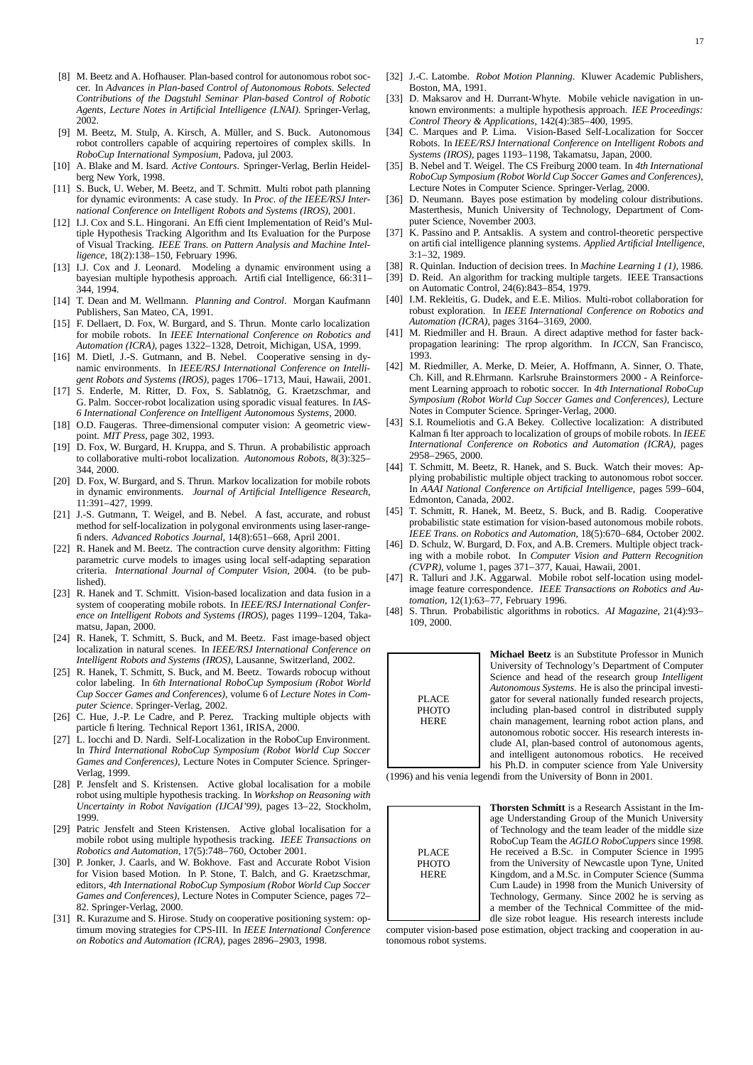- [8] M. Beetz and A. Hofhauser. Plan-based control for autonomous robot soccer. In *Advances in Plan-based Control of Autonomous Robots. Selected Contributions of the Dagstuhl Seminar Plan-based Control of Robotic Agents, Lecture Notes in Artificial Intelligence (LNAI)*. Springer-Verlag, 2002.
- [9] M. Beetz, M. Stulp, A. Kirsch, A. Müller, and S. Buck. Autonomous robot controllers capable of acquiring repertoires of complex skills. In *RoboCup International Symposium*, Padova, jul 2003.
- [10] A. Blake and M. Isard. *Active Contours*. Springer-Verlag, Berlin Heidelberg New York, 1998.
- [11] S. Buck, U. Weber, M. Beetz, and T. Schmitt. Multi robot path planning for dynamic evironments: A case study. In *Proc. of the IEEE/RSJ International Conference on Intelligent Robots and Systems (IROS)*, 2001.
- [12] I.J. Cox and S.L. Hingorani. An Efficient Implementation of Reid's Multiple Hypothesis Tracking Algorithm and Its Evaluation for the Purpose of Visual Tracking. *IEEE Trans. on Pattern Analysis and Machine Intelligence*, 18(2):138–150, February 1996.
- [13] I.J. Cox and J. Leonard. Modeling a dynamic environment using a bayesian multiple hypothesis approach. Artificial Intelligence, 66:311– 344, 1994.
- [14] T. Dean and M. Wellmann. *Planning and Control*. Morgan Kaufmann Publishers, San Mateo, CA, 1991.
- [15] F. Dellaert, D. Fox, W. Burgard, and S. Thrun. Monte carlo localization for mobile robots. In *IEEE International Conference on Robotics and Automation (ICRA)*, pages 1322–1328, Detroit, Michigan, USA, 1999.
- [16] M. Dietl, J.-S. Gutmann, and B. Nebel. Cooperative sensing in dynamic environments. In *IEEE/RSJ International Conference on Intelligent Robots and Systems (IROS)*, pages 1706–1713, Maui, Hawaii, 2001.
- [17] S. Enderle, M. Ritter, D. Fox, S. Sablatnög, G. Kraetzschmar, and G. Palm. Soccer-robot localization using sporadic visual features. In *IAS-6 International Conference on Intelligent Autonomous Systems*, 2000.
- [18] O.D. Faugeras. Three-dimensional computer vision: A geometric viewpoint. *MIT Press*, page 302, 1993.
- [19] D. Fox, W. Burgard, H. Kruppa, and S. Thrun. A probabilistic approach to collaborative multi-robot localization. *Autonomous Robots*, 8(3):325– 344, 2000.
- [20] D. Fox, W. Burgard, and S. Thrun. Markov localization for mobile robots in dynamic environments. *Journal of Artificial Intelligence Research*, 11:391–427, 1999.
- [21] J.-S. Gutmann, T. Weigel, and B. Nebel. A fast, accurate, and robust method for self-localization in polygonal environments using laser-rangefinders. *Advanced Robotics Journal*, 14(8):651–668, April 2001.
- [22] R. Hanek and M. Beetz. The contraction curve density algorithm: Fitting parametric curve models to images using local self-adapting separation criteria. *International Journal of Computer Vision*, 2004. (to be published).
- [23] R. Hanek and T. Schmitt. Vision-based localization and data fusion in a system of cooperating mobile robots. In *IEEE/RSJ International Conference on Intelligent Robots and Systems (IROS)*, pages 1199–1204, Takamatsu, Japan, 2000.
- [24] R. Hanek, T. Schmitt, S. Buck, and M. Beetz. Fast image-based object localization in natural scenes. In *IEEE/RSJ International Conference on Intelligent Robots and Systems (IROS)*, Lausanne, Switzerland, 2002.
- [25] R. Hanek, T. Schmitt, S. Buck, and M. Beetz. Towards robocup without color labeling. In *6th International RoboCup Symposium (Robot World Cup Soccer Games and Conferences)*, volume 6 of *Lecture Notes in Computer Science*. Springer-Verlag, 2002.
- [26] C. Hue, J.-P. Le Cadre, and P. Perez. Tracking multiple objects with particle filtering. Technical Report 1361, IRISA, 2000.
- [27] L. Jocchi and D. Nardi. Self-Localization in the RoboCup Environment. In *Third International RoboCup Symposium (Robot World Cup Soccer Games and Conferences)*, Lecture Notes in Computer Science. Springer-Verlag, 1999.
- [28] P. Jensfelt and S. Kristensen. Active global localisation for a mobile robot using multiple hypothesis tracking. In *Workshop on Reasoning with Uncertainty in Robot Navigation (IJCAI'99)*, pages 13–22, Stockholm, 1999.
- [29] Patric Jensfelt and Steen Kristensen. Active global localisation for a mobile robot using multiple hypothesis tracking. *IEEE Transactions on Robotics and Automation*, 17(5):748–760, October 2001.
- [30] P. Jonker, J. Caarls, and W. Bokhove. Fast and Accurate Robot Vision for Vision based Motion. In P. Stone, T. Balch, and G. Kraetzschmar, editors, *4th International RoboCup Symposium (Robot World Cup Soccer Games and Conferences)*, Lecture Notes in Computer Science, pages 72– 82. Springer-Verlag, 2000.
- [31] R. Kurazume and S. Hirose. Study on cooperative positioning system: optimum moving strategies for CPS-III. In *IEEE International Conference on Robotics and Automation (ICRA)*, pages 2896–2903, 1998.
- [32] J.-C. Latombe. *Robot Motion Planning*. Kluwer Academic Publishers, Boston, MA, 1991.
- [33] D. Maksarov and H. Durrant-Whyte. Mobile vehicle navigation in unknown environments: a multiple hypothesis approach. *IEE Proceedings: Control Theory & Applications*, 142(4):385–400, 1995.
- [34] C. Marques and P. Lima. Vision-Based Self-Localization for Soccer Robots. In *IEEE/RSJ International Conference on Intelligent Robots and Systems (IROS)*, pages 1193–1198, Takamatsu, Japan, 2000.
- [35] B. Nebel and T. Weigel. The CS Freiburg 2000 team. In *4th International RoboCup Symposium (Robot World Cup Soccer Games and Conferences)*, Lecture Notes in Computer Science. Springer-Verlag, 2000.
- [36] D. Neumann. Bayes pose estimation by modeling colour distributions. Masterthesis, Munich University of Technology, Department of Computer Science, November 2003.
- [37] K. Passino and P. Antsaklis. A system and control-theoretic perspective on artificial intelligence planning systems. *Applied Artificial Intelligence*, 3:1–32, 1989.
- [38] R. Quinlan. Induction of decision trees. In *Machine Learning 1 (1)*, 1986.
- [39] D. Reid. An algorithm for tracking multiple targets. IEEE Transactions on Automatic Control, 24(6):843–854, 1979.
- [40] I.M. Rekleitis, G. Dudek, and E.E. Milios. Multi-robot collaboration for robust exploration. In *IEEE International Conference on Robotics and Automation (ICRA)*, pages 3164–3169, 2000.
- [41] M. Riedmiller and H. Braun. A direct adaptive method for faster backpropagation learining: The rprop algorithm. In *ICCN*, San Francisco, 1993.
- [42] M. Riedmiller, A. Merke, D. Meier, A. Hoffmann, A. Sinner, O. Thate, Ch. Kill, and R.Ehrmann. Karlsruhe Brainstormers 2000 - A Reinforcement Learning approach to robotic soccer. In *4th International RoboCup Symposium (Robot World Cup Soccer Games and Conferences)*, Lecture Notes in Computer Science. Springer-Verlag, 2000.
- [43] S.I. Roumeliotis and G.A Bekey. Collective localization: A distributed Kalman filter approach to localization of groups of mobile robots. In *IEEE International Conference on Robotics and Automation (ICRA)*, pages 2958–2965, 2000.
- [44] T. Schmitt, M. Beetz, R. Hanek, and S. Buck. Watch their moves: Applying probabilistic multiple object tracking to autonomous robot soccer. In *AAAI National Conference on Artificial Intelligence*, pages 599–604, Edmonton, Canada, 2002.
- [45] T. Schmitt, R. Hanek, M. Beetz, S. Buck, and B. Radig. Cooperative probabilistic state estimation for vision-based autonomous mobile robots. *IEEE Trans. on Robotics and Automation*, 18(5):670–684, October 2002.
- [46] D. Schulz, W. Burgard, D. Fox, and A.B. Cremers. Multiple object tracking with a mobile robot. In *Computer Vision and Pattern Recognition (CVPR)*, volume 1, pages 371–377, Kauai, Hawaii, 2001.
- [47] R. Talluri and J.K. Aggarwal. Mobile robot self-location using modelimage feature correspondence. *IEEE Transactions on Robotics and Automation*, 12(1):63–77, February 1996.
- [48] S. Thrun. Probabilistic algorithms in robotics. *AI Magazine*, 21(4):93– 109, 2000.



**Michael Beetz** is an Substitute Professor in Munich University of Technology's Department of Computer Science and head of the research group *Intelligent Autonomous Systems*. He is also the principal investigator for several nationally funded research projects, including plan-based control in distributed supply chain management, learning robot action plans, and autonomous robotic soccer. His research interests include AI, plan-based control of autonomous agents, and intelligent autonomous robotics. He received his Ph.D. in computer science from Yale University

(1996) and his venia legendi from the University of Bonn in 2001.



**Thorsten Schmitt** is a Research Assistant in the Image Understanding Group of the Munich University of Technology and the team leader of the middle size RoboCup Team the *AGILO RoboCuppers* since 1998. He received a B.Sc. in Computer Science in 1995 from the University of Newcastle upon Tyne, United Kingdom, and a M.Sc. in Computer Science (Summa Cum Laude) in 1998 from the Munich University of Technology, Germany. Since 2002 he is serving as a member of the Technical Committee of the middle size robot league. His research interests include

computer vision-based pose estimation, object tracking and cooperation in autonomous robot systems.